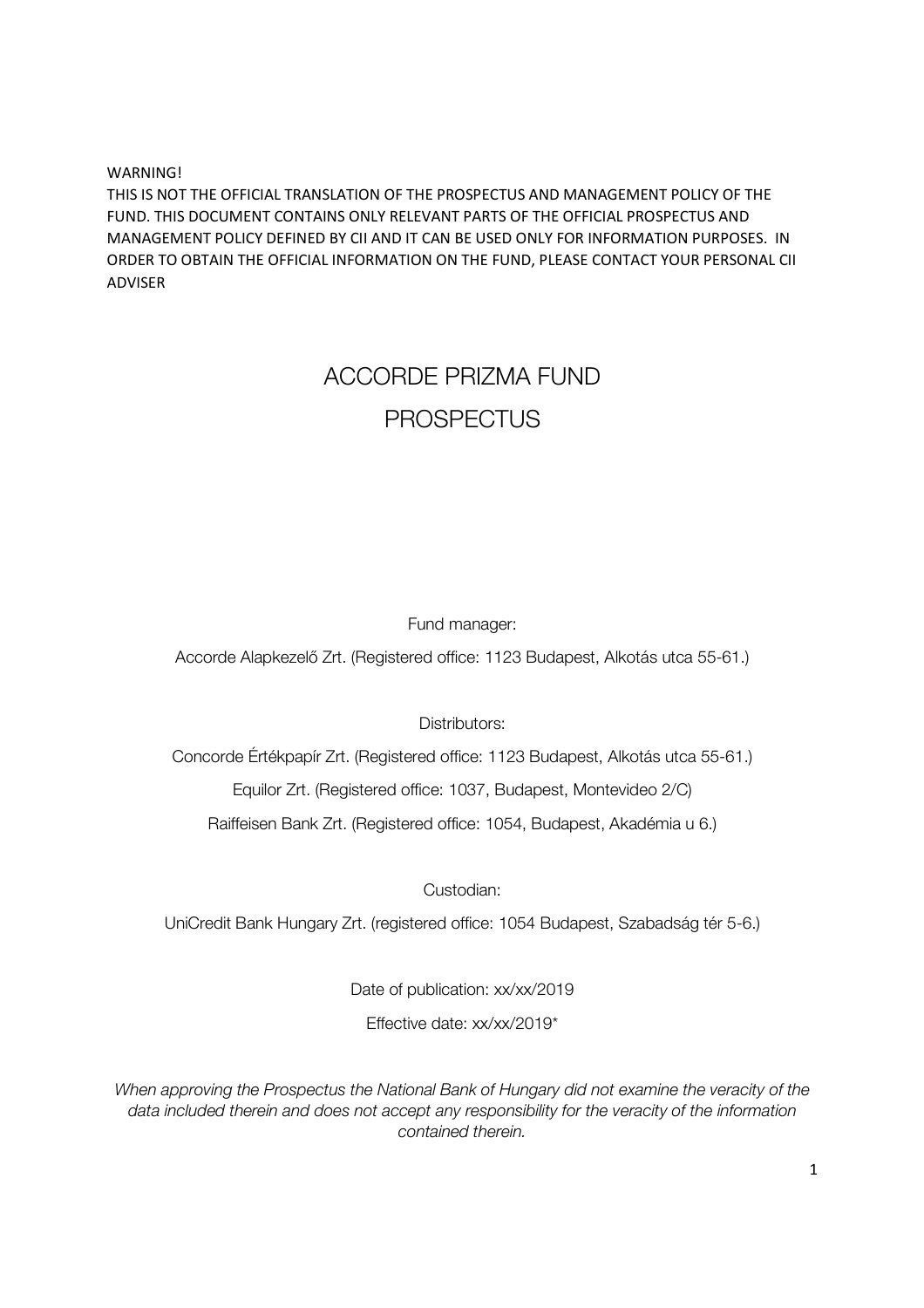WARNING! THIS IS NOT THE OFFICIAL TRANSLATION OF THE PROSPECTUS AND MANAGEMENT POLICY OF THE FUND. THIS DOCUMENT CONTAINS ONLY RELEVANT PARTS OF THE OFFICIAL PROSPECTUS AND MANAGEMENT POLICY DEFINED BY CII AND IT CAN BE USED ONLY FOR INFORMATION PURPOSES. IN ORDER TO OBTAIN THE OFFICIAL INFORMATION ON THE FUND, PLEASE CONTACT YOUR PERSONAL CII ADVISER

# ACCORDE PRIZMA FUND PROSPECTUS

## Fund manager:

Accorde Alapkezelő Zrt. (Registered office: 1123 Budapest, Alkotás utca 55-61.)

Distributors:

Concorde Értékpapír Zrt. (Registered office: 1123 Budapest, Alkotás utca 55-61.) Equilor Zrt. (Registered office: 1037, Budapest, Montevideo 2/C)

Raiffeisen Bank Zrt. (Registered office: 1054, Budapest, Akadémia u 6.)

Custodian:

UniCredit Bank Hungary Zrt. (registered office: 1054 Budapest, Szabadság tér 5-6.)

Date of publication: xx/xx/2019

Effective date: xx/xx/2019\*

*When approving the Prospectus the National Bank of Hungary did not examine the veracity of the data included therein and does not accept any responsibility for the veracity of the information contained therein.*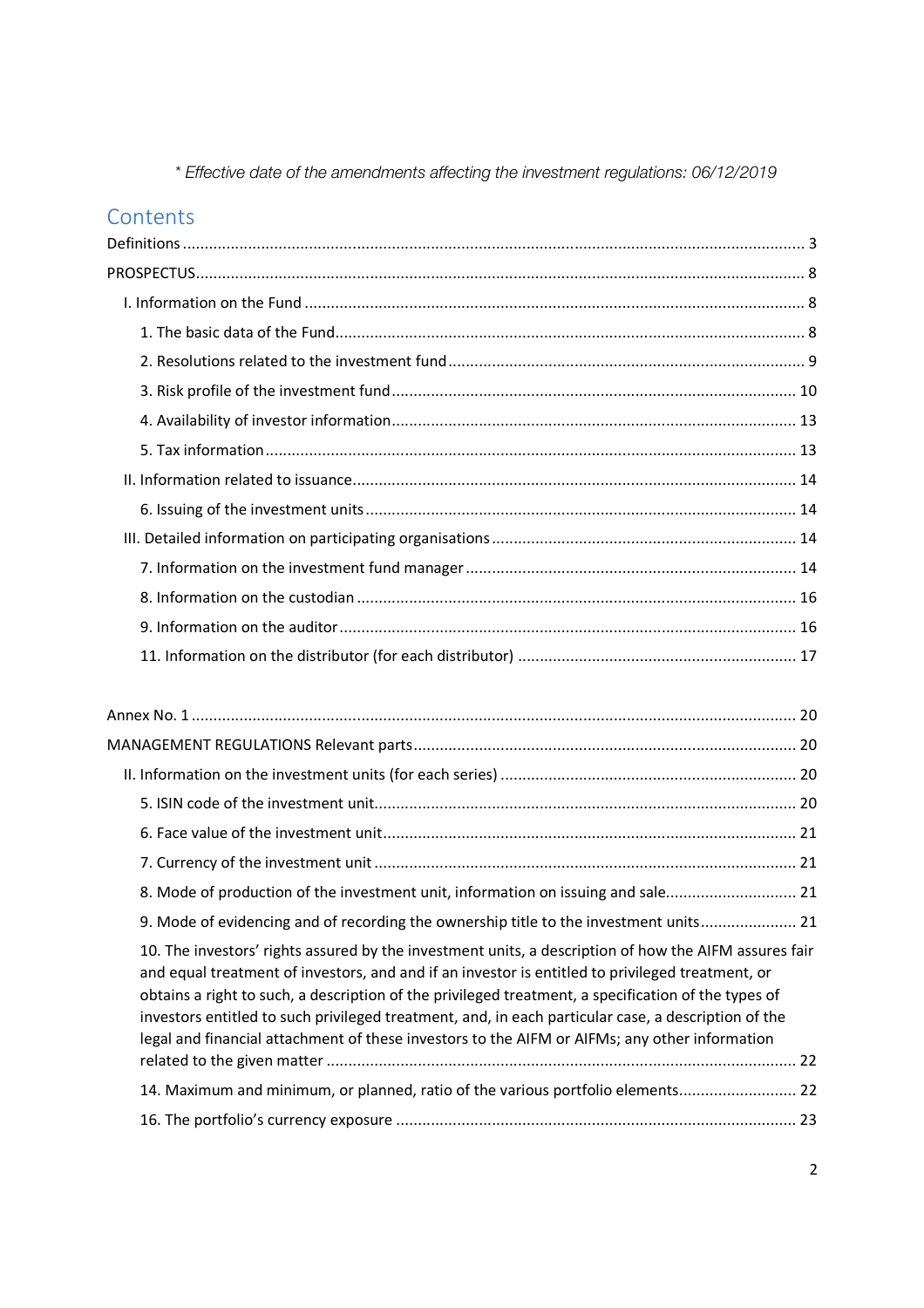*\* Effective date of the amendments affecting the investment regulations: 06/12/2019* 

## **Contents**

| 8. Mode of production of the investment unit, information on issuing and sale 21                                                                                                                                                                                                                                                                                                                                                                                                                                         |
|--------------------------------------------------------------------------------------------------------------------------------------------------------------------------------------------------------------------------------------------------------------------------------------------------------------------------------------------------------------------------------------------------------------------------------------------------------------------------------------------------------------------------|
| 9. Mode of evidencing and of recording the ownership title to the investment units 21                                                                                                                                                                                                                                                                                                                                                                                                                                    |
| 10. The investors' rights assured by the investment units, a description of how the AIFM assures fair<br>and equal treatment of investors, and and if an investor is entitled to privileged treatment, or<br>obtains a right to such, a description of the privileged treatment, a specification of the types of<br>investors entitled to such privileged treatment, and, in each particular case, a description of the<br>legal and financial attachment of these investors to the AIFM or AIFMs; any other information |
|                                                                                                                                                                                                                                                                                                                                                                                                                                                                                                                          |
| 14. Maximum and minimum, or planned, ratio of the various portfolio elements 22                                                                                                                                                                                                                                                                                                                                                                                                                                          |
|                                                                                                                                                                                                                                                                                                                                                                                                                                                                                                                          |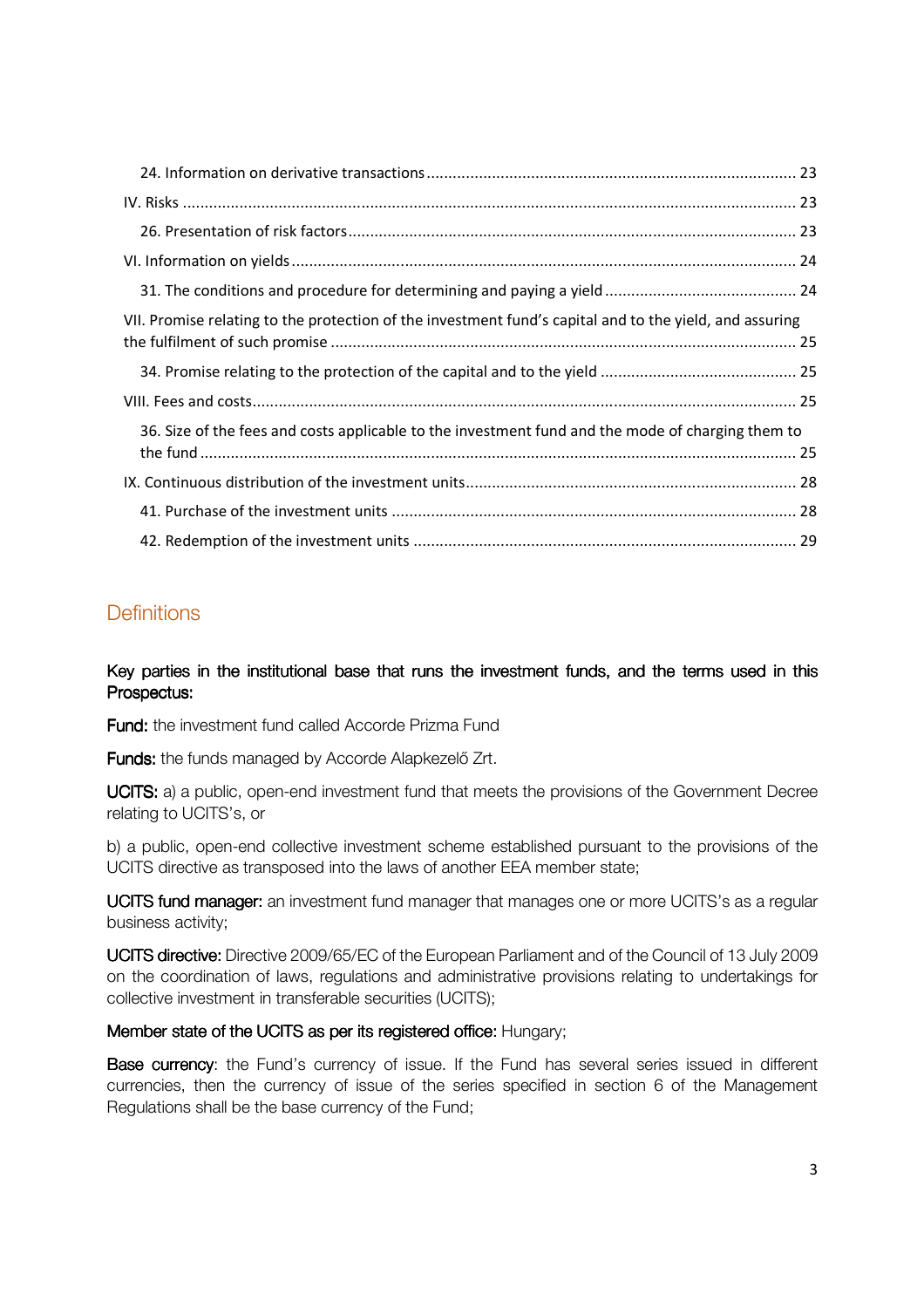| VII. Promise relating to the protection of the investment fund's capital and to the yield, and assuring |  |
|---------------------------------------------------------------------------------------------------------|--|
|                                                                                                         |  |
|                                                                                                         |  |
| 36. Size of the fees and costs applicable to the investment fund and the mode of charging them to       |  |
|                                                                                                         |  |
|                                                                                                         |  |
|                                                                                                         |  |

## **Definitions**

Key parties in the institutional base that runs the investment funds, and the terms used in this Prospectus:

Fund: the investment fund called Accorde Prizma Fund

Funds: the funds managed by Accorde Alapkezelő Zrt.

UCITS: a) a public, open-end investment fund that meets the provisions of the Government Decree relating to UCITS's, or

b) a public, open-end collective investment scheme established pursuant to the provisions of the UCITS directive as transposed into the laws of another EEA member state;

**UCITS fund manager:** an investment fund manager that manages one or more UCITS's as a regular business activity;

UCITS directive: Directive 2009/65/EC of the European Parliament and of the Council of 13 July 2009 on the coordination of laws, regulations and administrative provisions relating to undertakings for collective investment in transferable securities (UCITS);

## Member state of the UCITS as per its registered office: Hungary;

Base currency: the Fund's currency of issue. If the Fund has several series issued in different currencies, then the currency of issue of the series specified in section 6 of the Management Regulations shall be the base currency of the Fund;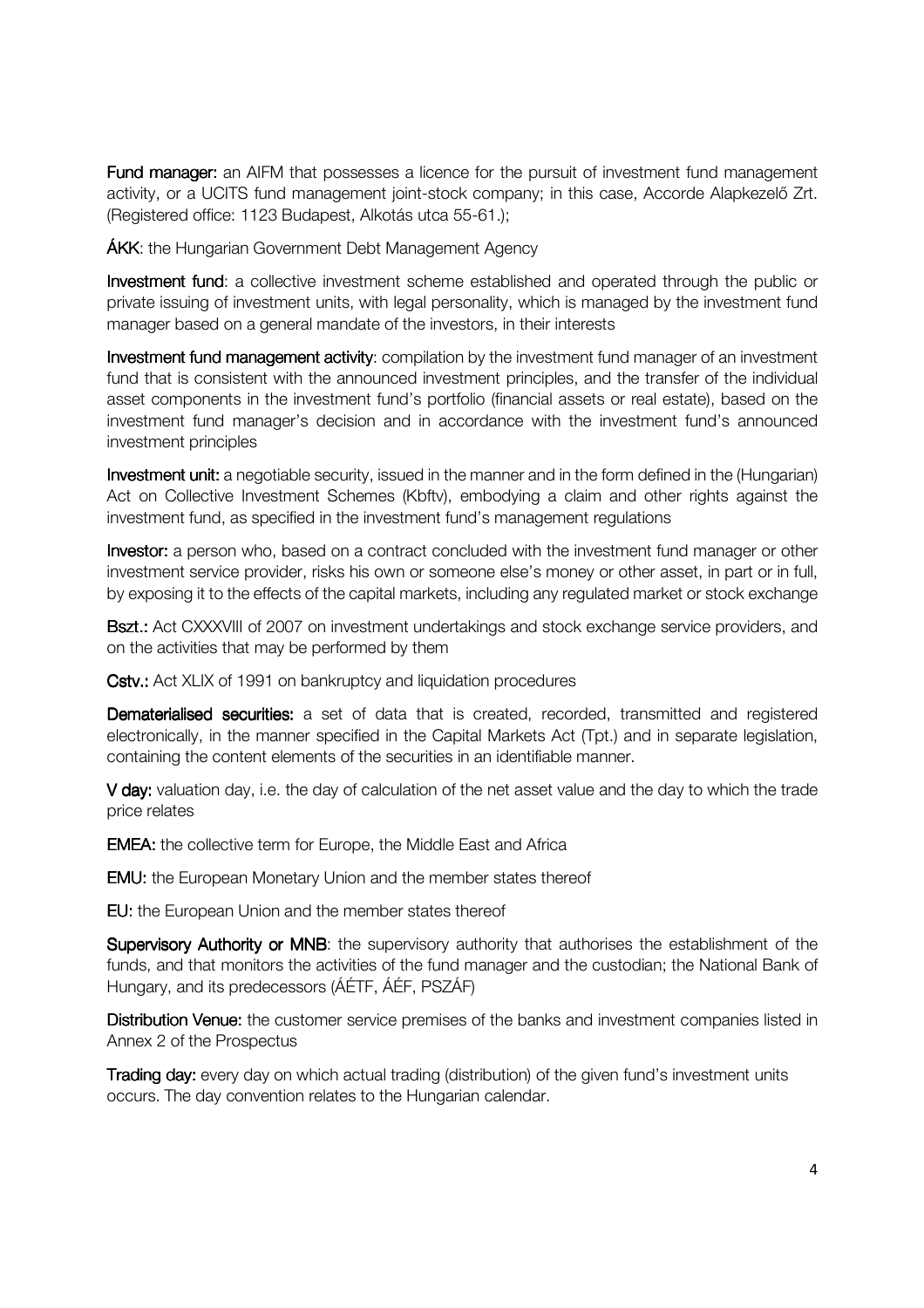**Fund manager:** an AIFM that possesses a licence for the pursuit of investment fund management activity, or a UCITS fund management joint-stock company; in this case, Accorde Alapkezelő Zrt. (Registered office: 1123 Budapest, Alkotás utca 55-61.);

**ÁKK:** the Hungarian Government Debt Management Agency

Investment fund: a collective investment scheme established and operated through the public or private issuing of investment units, with legal personality, which is managed by the investment fund manager based on a general mandate of the investors, in their interests

Investment fund management activity: compilation by the investment fund manager of an investment fund that is consistent with the announced investment principles, and the transfer of the individual asset components in the investment fund's portfolio (financial assets or real estate), based on the investment fund manager's decision and in accordance with the investment fund's announced investment principles

Investment unit: a negotiable security, issued in the manner and in the form defined in the (Hungarian) Act on Collective Investment Schemes (Kbftv), embodying a claim and other rights against the investment fund, as specified in the investment fund's management regulations

Investor: a person who, based on a contract concluded with the investment fund manager or other investment service provider, risks his own or someone else's money or other asset, in part or in full, by exposing it to the effects of the capital markets, including any regulated market or stock exchange

Bszt.: Act CXXXVIII of 2007 on investment undertakings and stock exchange service providers, and on the activities that may be performed by them

Cstv.: Act XLIX of 1991 on bankruptcy and liquidation procedures

Dematerialised securities: a set of data that is created, recorded, transmitted and registered electronically, in the manner specified in the Capital Markets Act (Tpt.) and in separate legislation, containing the content elements of the securities in an identifiable manner.

V day: valuation day, i.e. the day of calculation of the net asset value and the day to which the trade price relates

**EMEA:** the collective term for Europe, the Middle East and Africa

**EMU:** the European Monetary Union and the member states thereof

**FU:** the European Union and the member states thereof

Supervisory Authority or MNB: the supervisory authority that authorises the establishment of the funds, and that monitors the activities of the fund manager and the custodian; the National Bank of Hungary, and its predecessors (ÁÉTF, ÁÉF, PSZÁF)

Distribution Venue: the customer service premises of the banks and investment companies listed in Annex 2 of the Prospectus

Trading day: every day on which actual trading (distribution) of the given fund's investment units occurs. The day convention relates to the Hungarian calendar.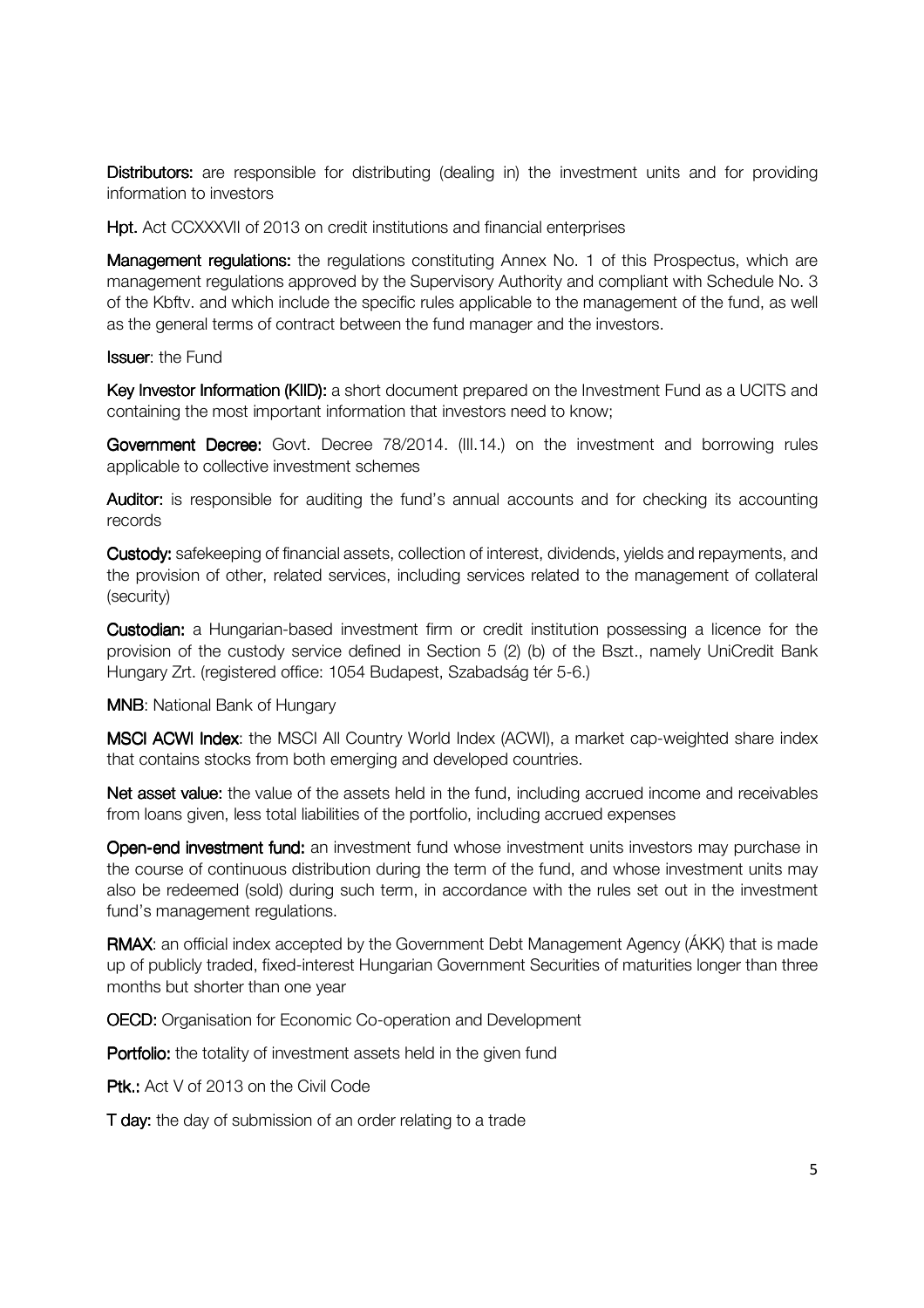Distributors: are responsible for distributing (dealing in) the investment units and for providing information to investors

Hpt. Act CCXXXVII of 2013 on credit institutions and financial enterprises

Management regulations: the regulations constituting Annex No. 1 of this Prospectus, which are management regulations approved by the Supervisory Authority and compliant with Schedule No. 3 of the Kbftv. and which include the specific rules applicable to the management of the fund, as well as the general terms of contract between the fund manager and the investors.

**Issuer:** the Fund

Key Investor Information (KIID): a short document prepared on the Investment Fund as a UCITS and containing the most important information that investors need to know;

Government Decree: Govt. Decree 78/2014. (III.14.) on the investment and borrowing rules applicable to collective investment schemes

Auditor: is responsible for auditing the fund's annual accounts and for checking its accounting records

Custody: safekeeping of financial assets, collection of interest, dividends, yields and repayments, and the provision of other, related services, including services related to the management of collateral (security)

**Custodian:** a Hungarian-based investment firm or credit institution possessing a licence for the provision of the custody service defined in Section 5 (2) (b) of the Bszt., namely UniCredit Bank Hungary Zrt. (registered office: 1054 Budapest, Szabadság tér 5-6.)

**MNB:** National Bank of Hungary

MSCI ACWI Index: the MSCI All Country World Index (ACWI), a market cap-weighted share index that contains stocks from both emerging and developed countries.

Net asset value: the value of the assets held in the fund, including accrued income and receivables from loans given, less total liabilities of the portfolio, including accrued expenses

Open-end investment fund: an investment fund whose investment units investors may purchase in the course of continuous distribution during the term of the fund, and whose investment units may also be redeemed (sold) during such term, in accordance with the rules set out in the investment fund's management regulations.

RMAX: an official index accepted by the Government Debt Management Agency (AKK) that is made up of publicly traded, fixed-interest Hungarian Government Securities of maturities longer than three months but shorter than one year

**OECD:** Organisation for Economic Co-operation and Development

Portfolio: the totality of investment assets held in the given fund

Ptk.: Act V of 2013 on the Civil Code

T day: the day of submission of an order relating to a trade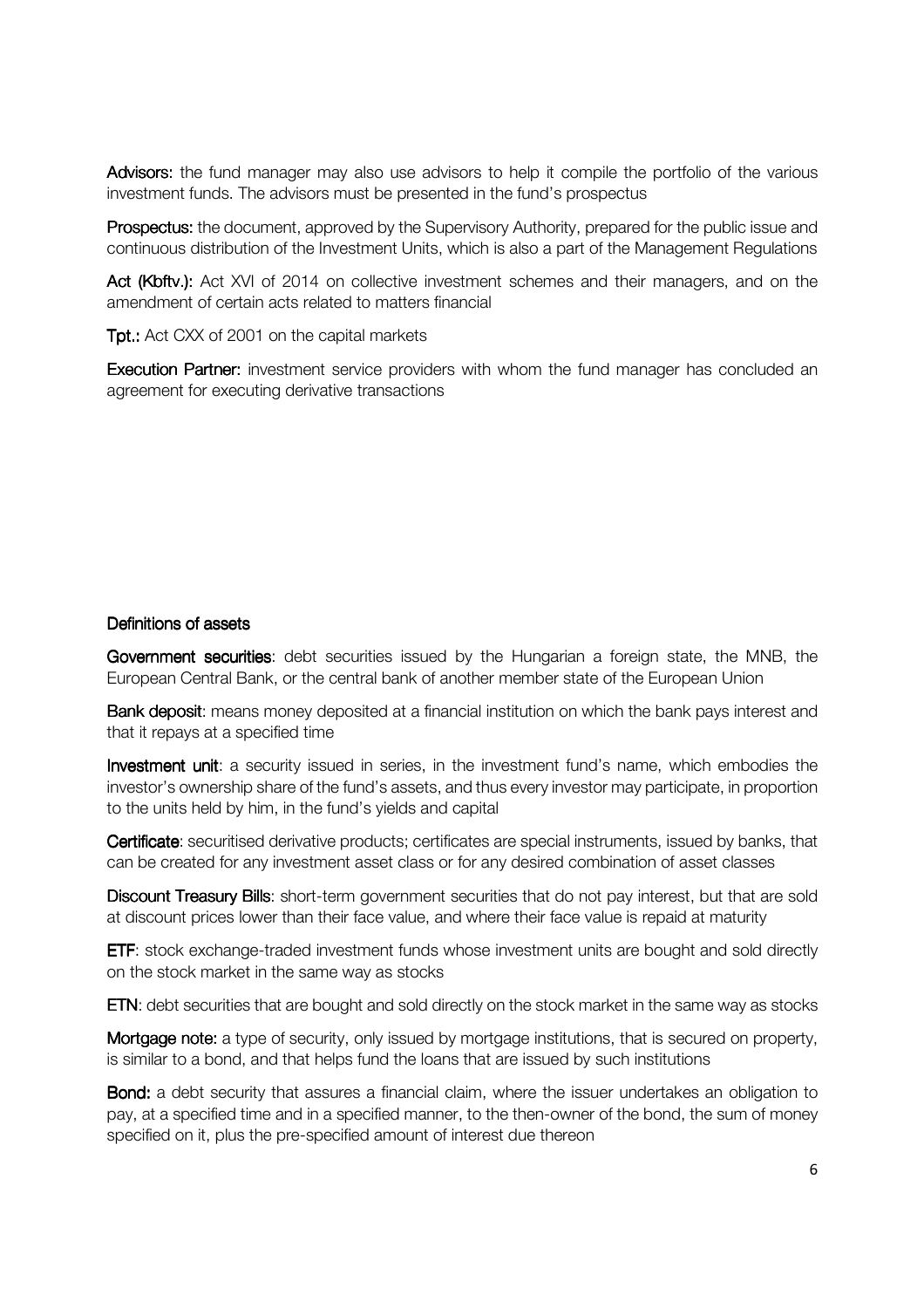Advisors: the fund manager may also use advisors to help it compile the portfolio of the various investment funds. The advisors must be presented in the fund's prospectus

Prospectus: the document, approved by the Supervisory Authority, prepared for the public issue and continuous distribution of the Investment Units, which is also a part of the Management Regulations

Act (Kbftv.): Act XVI of 2014 on collective investment schemes and their managers, and on the amendment of certain acts related to matters financial

Tpt.: Act CXX of 2001 on the capital markets

**Execution Partner:** investment service providers with whom the fund manager has concluded an agreement for executing derivative transactions

#### Definitions of assets

Government securities: debt securities issued by the Hungarian a foreign state, the MNB, the European Central Bank, or the central bank of another member state of the European Union

Bank deposit: means money deposited at a financial institution on which the bank pays interest and that it repays at a specified time

Investment unit: a security issued in series, in the investment fund's name, which embodies the investor's ownership share of the fund's assets, and thus every investor may participate, in proportion to the units held by him, in the fund's yields and capital

Certificate: securitised derivative products; certificates are special instruments, issued by banks, that can be created for any investment asset class or for any desired combination of asset classes

Discount Treasury Bills: short-term government securities that do not pay interest, but that are sold at discount prices lower than their face value, and where their face value is repaid at maturity

**ETF:** stock exchange-traded investment funds whose investment units are bought and sold directly on the stock market in the same way as stocks

ETN: debt securities that are bought and sold directly on the stock market in the same way as stocks

Mortgage note: a type of security, only issued by mortgage institutions, that is secured on property, is similar to a bond, and that helps fund the loans that are issued by such institutions

Bond: a debt security that assures a financial claim, where the issuer undertakes an obligation to pay, at a specified time and in a specified manner, to the then-owner of the bond, the sum of money specified on it, plus the pre-specified amount of interest due thereon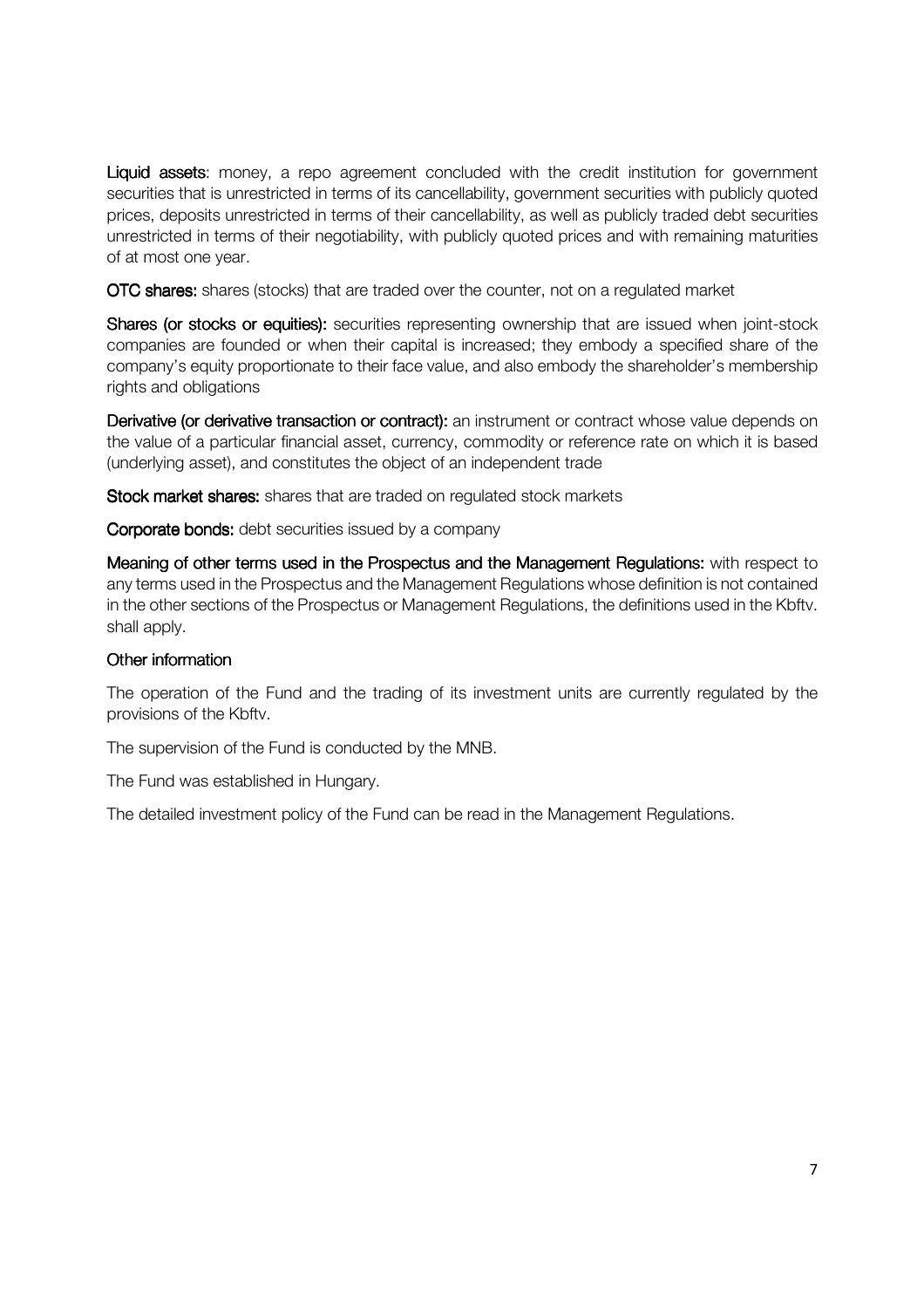Liquid assets: money, a repo agreement concluded with the credit institution for government securities that is unrestricted in terms of its cancellability, government securities with publicly quoted prices, deposits unrestricted in terms of their cancellability, as well as publicly traded debt securities unrestricted in terms of their negotiability, with publicly quoted prices and with remaining maturities of at most one year.

OTC shares: shares (stocks) that are traded over the counter, not on a regulated market

Shares (or stocks or equities): securities representing ownership that are issued when joint-stock companies are founded or when their capital is increased; they embody a specified share of the company's equity proportionate to their face value, and also embody the shareholder's membership rights and obligations

Derivative (or derivative transaction or contract): an instrument or contract whose value depends on the value of a particular financial asset, currency, commodity or reference rate on which it is based (underlying asset), and constitutes the object of an independent trade

Stock market shares: shares that are traded on regulated stock markets

**Corporate bonds:** debt securities issued by a company

Meaning of other terms used in the Prospectus and the Management Regulations: with respect to any terms used in the Prospectus and the Management Regulations whose definition is not contained in the other sections of the Prospectus or Management Regulations, the definitions used in the Kbftv. shall apply.

#### Other information

The operation of the Fund and the trading of its investment units are currently regulated by the provisions of the Kbftv.

The supervision of the Fund is conducted by the MNB.

The Fund was established in Hungary.

The detailed investment policy of the Fund can be read in the Management Regulations.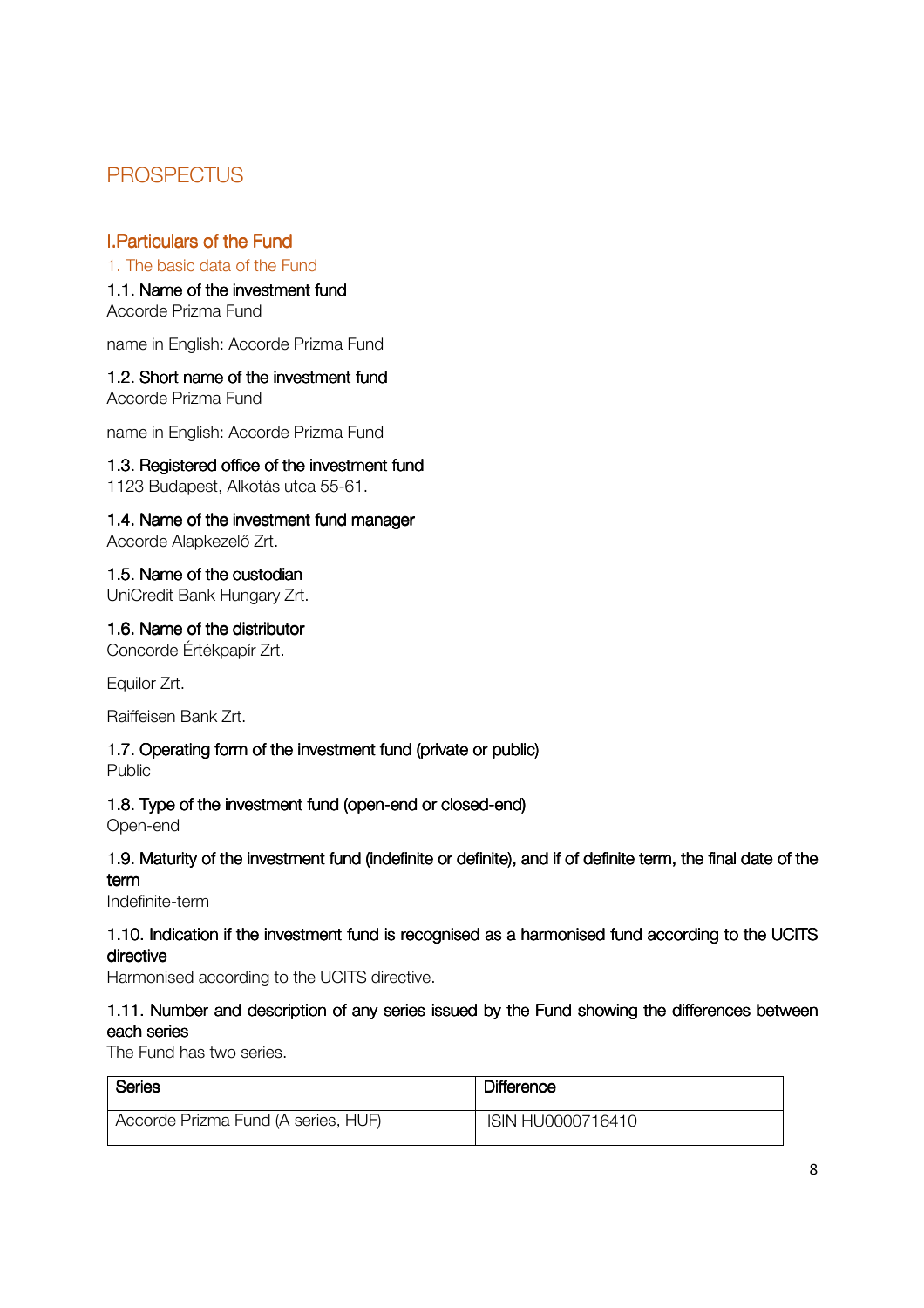## **PROSPECTUS**

## **I.Particulars of the Fund is**

#### 1. The basic data of the Fund

1.1. Name of the investment fund Accorde Prizma Fund

name in English: Accorde Prizma Fund

#### 1.2. Short name of the investment fund

Accorde Prizma Fund

name in English: Accorde Prizma Fund

#### 1.3. Registered office of the investment fund

1123 Budapest, Alkotás utca 55-61.

## 1.4. Name of the investment fund manager

Accorde Alapkezelő Zrt.

## 1.5. Name of the custodian

UniCredit Bank Hungary Zrt.

#### 1.6. Name of the distributor

Concorde Értékpapír Zrt.

Equilor Zrt.

Raiffeisen Bank Zrt.

## 1.7. Operating form of the investment fund (private or public)

Public

#### 1.8. Type of the investment fund (open-end or closed-end)

Open-end

## 1.9. Maturity of the investment fund (indefinite or definite), and if of definite term, the final date of the term

Indefinite-term

## 1.10. Indication if the investment fund is recognised as a harmonised fund according to the UCITS directive

Harmonised according to the UCITS directive.

## 1.11. Number and description of any series issued by the Fund showing the differences between each series

The Fund has two series.

| <b>Series</b>                       | <b>Difference</b> |
|-------------------------------------|-------------------|
| Accorde Prizma Fund (A series, HUF) | ISIN HU0000716410 |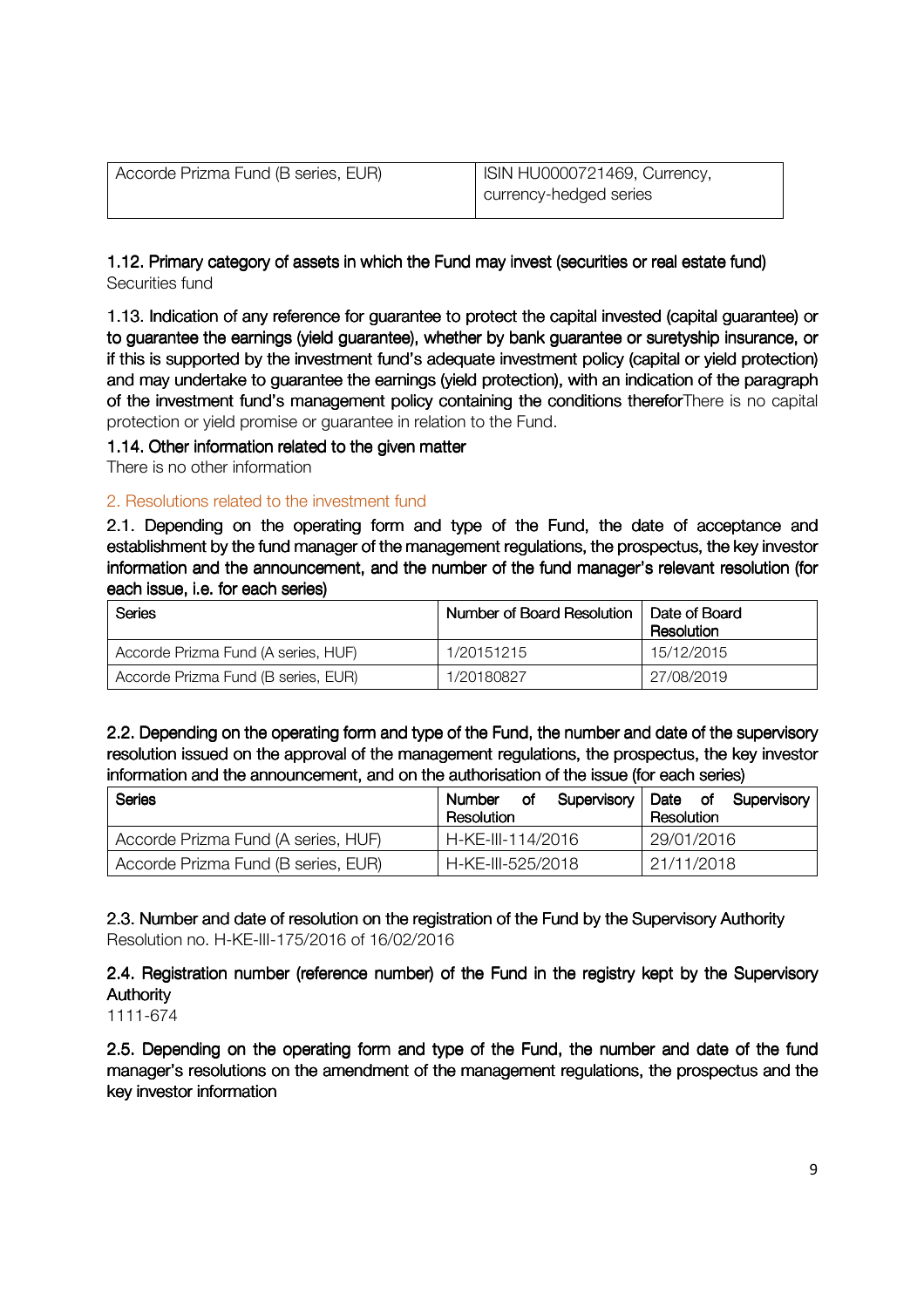| Accorde Prizma Fund (B series, EUR) | ISIN HU0000721469, Currency, |
|-------------------------------------|------------------------------|
|                                     | currency-hedged series       |

1.12. Primary category of assets in which the Fund may invest (securities or real estate fund) Securities fund

1.13. Indication of any reference for guarantee to protect the capital invested (capital guarantee) or to guarantee the earnings (yield guarantee), whether by bank guarantee or suretyship insurance, or if this is supported by the investment fund's adequate investment policy (capital or yield protection) and may undertake to guarantee the earnings (yield protection), with an indication of the paragraph of the investment fund's management policy containing the conditions therefor There is no capital protection or yield promise or guarantee in relation to the Fund.

#### 1.14. Other information related to the given matter

There is no other information

#### 2. Resolutions related to the investment fund

2.1. Depending on the operating form and type of the Fund, the date of acceptance and establishment by the fund manager of the management regulations, the prospectus, the key investor information and the announcement, and the number of the fund manager's relevant resolution (for each issue, i.e. for each series)

| Series                              | Number of Board Resolution | Date of Board<br>Resolution |
|-------------------------------------|----------------------------|-----------------------------|
| Accorde Prizma Fund (A series, HUF) | 1/20151215                 | 15/12/2015                  |
| Accorde Prizma Fund (B series, EUR) | 1/20180827                 | 27/08/2019                  |

2.2. Depending on the operating form and type of the Fund, the number and date of the supervisory resolution issued on the approval of the management regulations, the prospectus, the key investor information and the announcement, and on the authorisation of the issue (for each series)

| Series                              | Number<br>οf<br>Resolution | Supervisory   Date of Supervisory<br>Resolution |
|-------------------------------------|----------------------------|-------------------------------------------------|
| Accorde Prizma Fund (A series, HUF) | H-KE-III-114/2016          | 29/01/2016                                      |
| Accorde Prizma Fund (B series, EUR) | H-KE-III-525/2018          | 21/11/2018                                      |

2.3. Number and date of resolution on the registration of the Fund by the Supervisory Authority Resolution no. H-KE-III-175/2016 of 16/02/2016

2.4. Registration number (reference number) of the Fund in the registry kept by the Supervisory Authority

1111-674

2.5. Depending on the operating form and type of the Fund, the number and date of the fund manager's resolutions on the amendment of the management regulations, the prospectus and the key investor information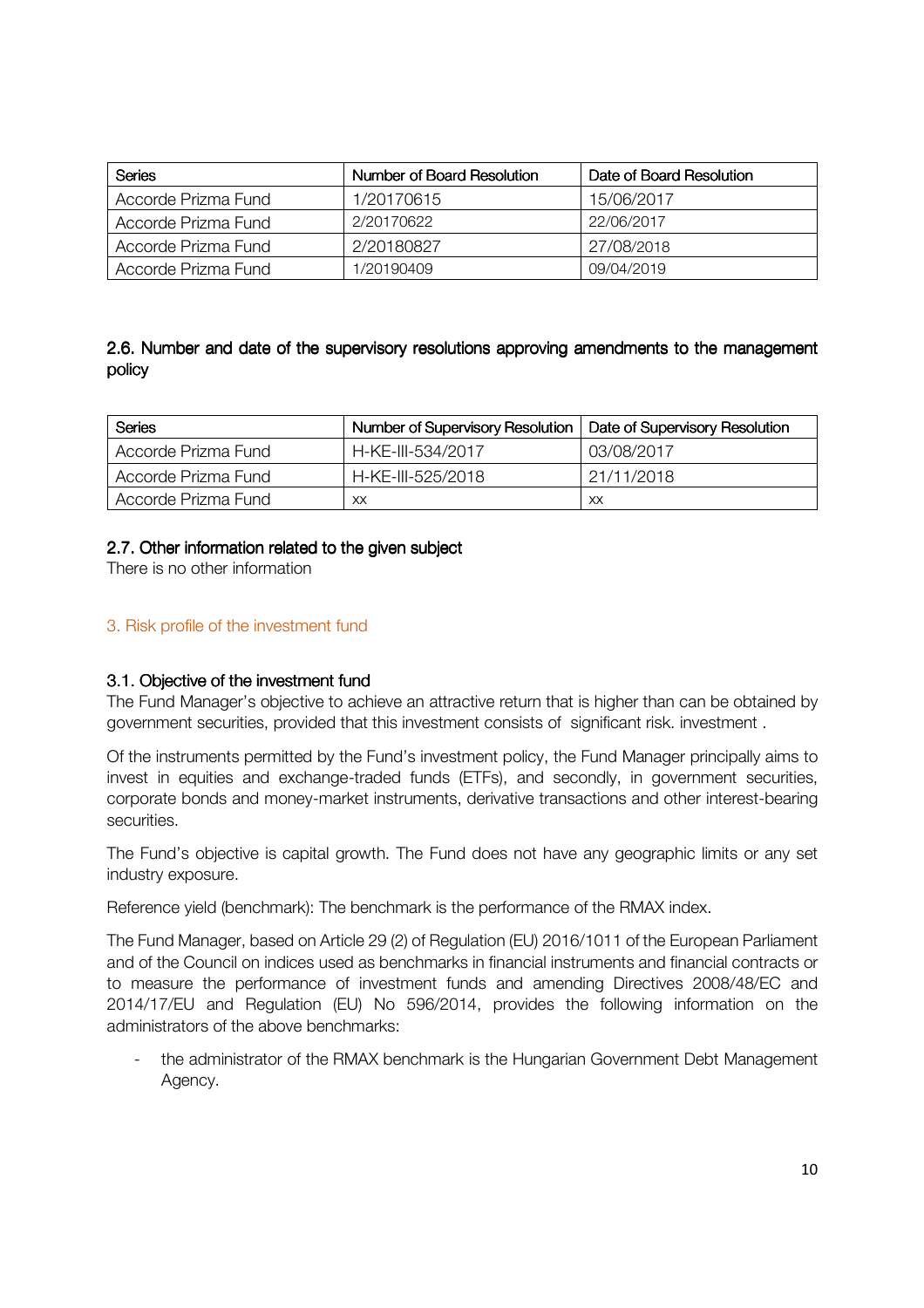| <b>Series</b>       | Number of Board Resolution | Date of Board Resolution |
|---------------------|----------------------------|--------------------------|
| Accorde Prizma Fund | 1/20170615                 | 15/06/2017               |
| Accorde Prizma Fund | 2/20170622                 | 22/06/2017               |
| Accorde Prizma Fund | 2/20180827                 | 27/08/2018               |
| Accorde Prizma Fund | 1/20190409                 | 09/04/2019               |

## 2.6. Number and date of the supervisory resolutions approving amendments to the management policy

| Series              | <b>Number of Supervisory Resolution</b> | Date of Supervisory Resolution |
|---------------------|-----------------------------------------|--------------------------------|
| Accorde Prizma Fund | H-KE-III-534/2017                       | 03/08/2017                     |
| Accorde Prizma Fund | H-KE-III-525/2018                       | 21/11/2018                     |
| Accorde Prizma Fund | XX                                      | XX                             |

## 2.7. Other information related to the given subject

There is no other information

## 3. Risk profile of the investment fund

#### 3.1. Objective of the investment fund

The Fund Manager's objective to achieve an attractive return that is higher than can be obtained by government securities, provided that this investment consists of significant risk. investment .

Of the instruments permitted by the Fund's investment policy, the Fund Manager principally aims to invest in equities and exchange-traded funds (ETFs), and secondly, in government securities, corporate bonds and money-market instruments, derivative transactions and other interest-bearing securities.

The Fund's objective is capital growth. The Fund does not have any geographic limits or any set industry exposure.

Reference yield (benchmark): The benchmark is the performance of the RMAX index.

The Fund Manager, based on Article 29 (2) of Regulation (EU) 2016/1011 of the European Parliament and of the Council on indices used as benchmarks in financial instruments and financial contracts or to measure the performance of investment funds and amending Directives 2008/48/EC and 2014/17/EU and Regulation (EU) No 596/2014, provides the following information on the administrators of the above benchmarks:

the administrator of the RMAX benchmark is the Hungarian Government Debt Management Agency.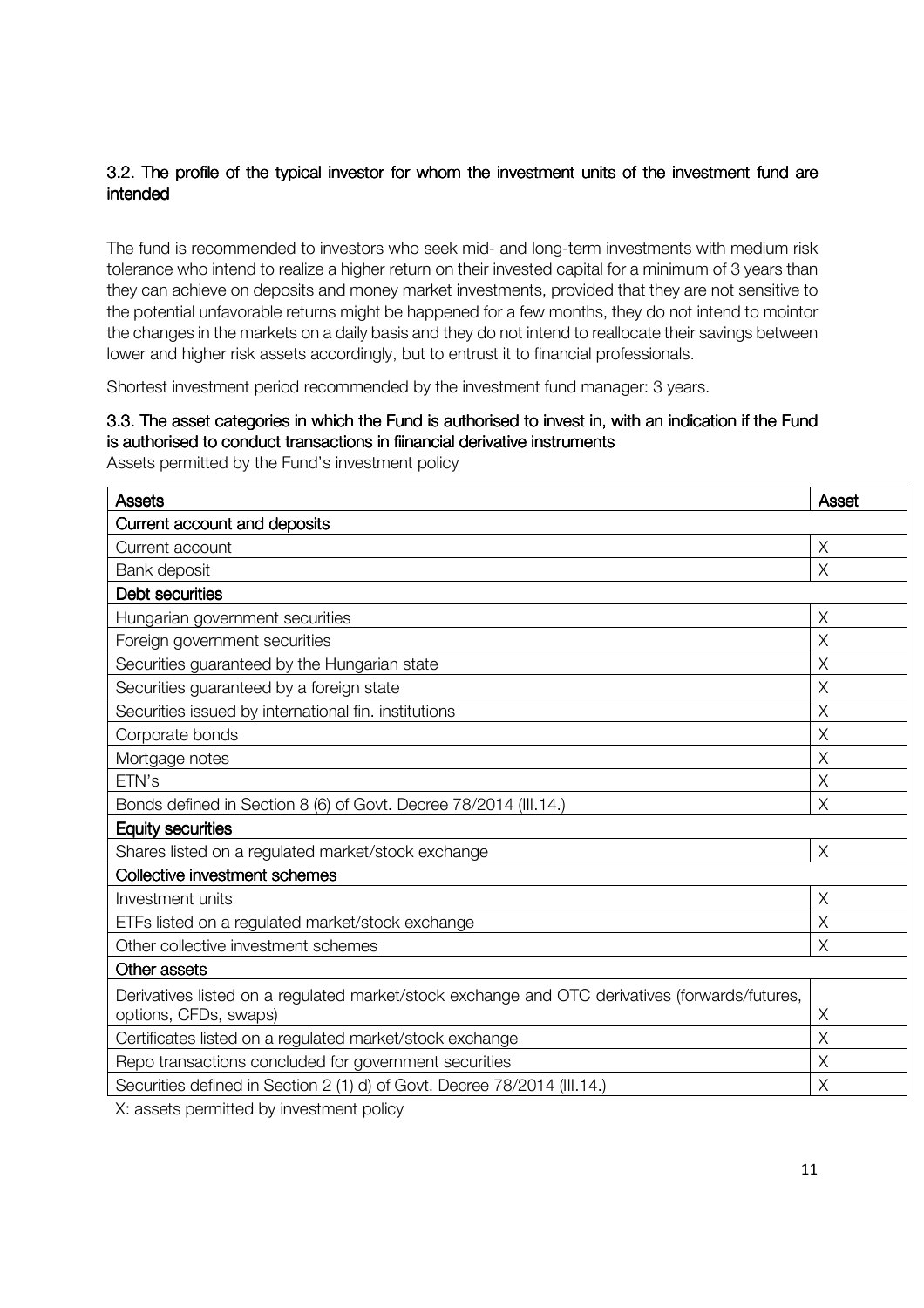## 3.2. The profile of the typical investor for whom the investment units of the investment fund are intended

The fund is recommended to investors who seek mid- and long-term investments with medium risk tolerance who intend to realize a higher return on their invested capital for a minimum of 3 years than they can achieve on deposits and money market investments, provided that they are not sensitive to the potential unfavorable returns might be happened for a few months, they do not intend to mointor the changes in the markets on a daily basis and they do not intend to reallocate their savings between lower and higher risk assets accordingly, but to entrust it to financial professionals.

Shortest investment period recommended by the investment fund manager: 3 years.

#### 3.3. The asset categories in which the Fund is authorised to invest in, with an indication if the Fund is authorised to conduct transactions in fiinancial derivative instruments

Assets permitted by the Fund's investment policy

| <b>Assets</b>                                                                                  | <b>Asset</b> |  |
|------------------------------------------------------------------------------------------------|--------------|--|
| Current account and deposits                                                                   |              |  |
| Current account                                                                                | X            |  |
| Bank deposit                                                                                   | $\times$     |  |
| Debt securities                                                                                |              |  |
| Hungarian government securities                                                                | X            |  |
| Foreign government securities                                                                  | $\times$     |  |
| Securities guaranteed by the Hungarian state                                                   | X            |  |
| Securities guaranteed by a foreign state                                                       | X            |  |
| Securities issued by international fin. institutions                                           | X            |  |
| Corporate bonds                                                                                | $\times$     |  |
| Mortgage notes                                                                                 | X            |  |
| ETN's                                                                                          | X            |  |
| Bonds defined in Section 8 (6) of Govt. Decree 78/2014 (III.14.)                               | X            |  |
| <b>Equity securities</b>                                                                       |              |  |
| Shares listed on a regulated market/stock exchange                                             | X            |  |
| <b>Collective investment schemes</b>                                                           |              |  |
| Investment units                                                                               | X            |  |
| ETFs listed on a regulated market/stock exchange                                               | X            |  |
| Other collective investment schemes                                                            | $\times$     |  |
| <b>Other assets</b>                                                                            |              |  |
| Derivatives listed on a regulated market/stock exchange and OTC derivatives (forwards/futures, |              |  |
| options, CFDs, swaps)                                                                          | Χ            |  |
| Certificates listed on a regulated market/stock exchange                                       | X            |  |
| Repo transactions concluded for government securities                                          | X            |  |
| Securities defined in Section 2 (1) d) of Govt. Decree 78/2014 (III.14.)                       | X            |  |

X: assets permitted by investment policy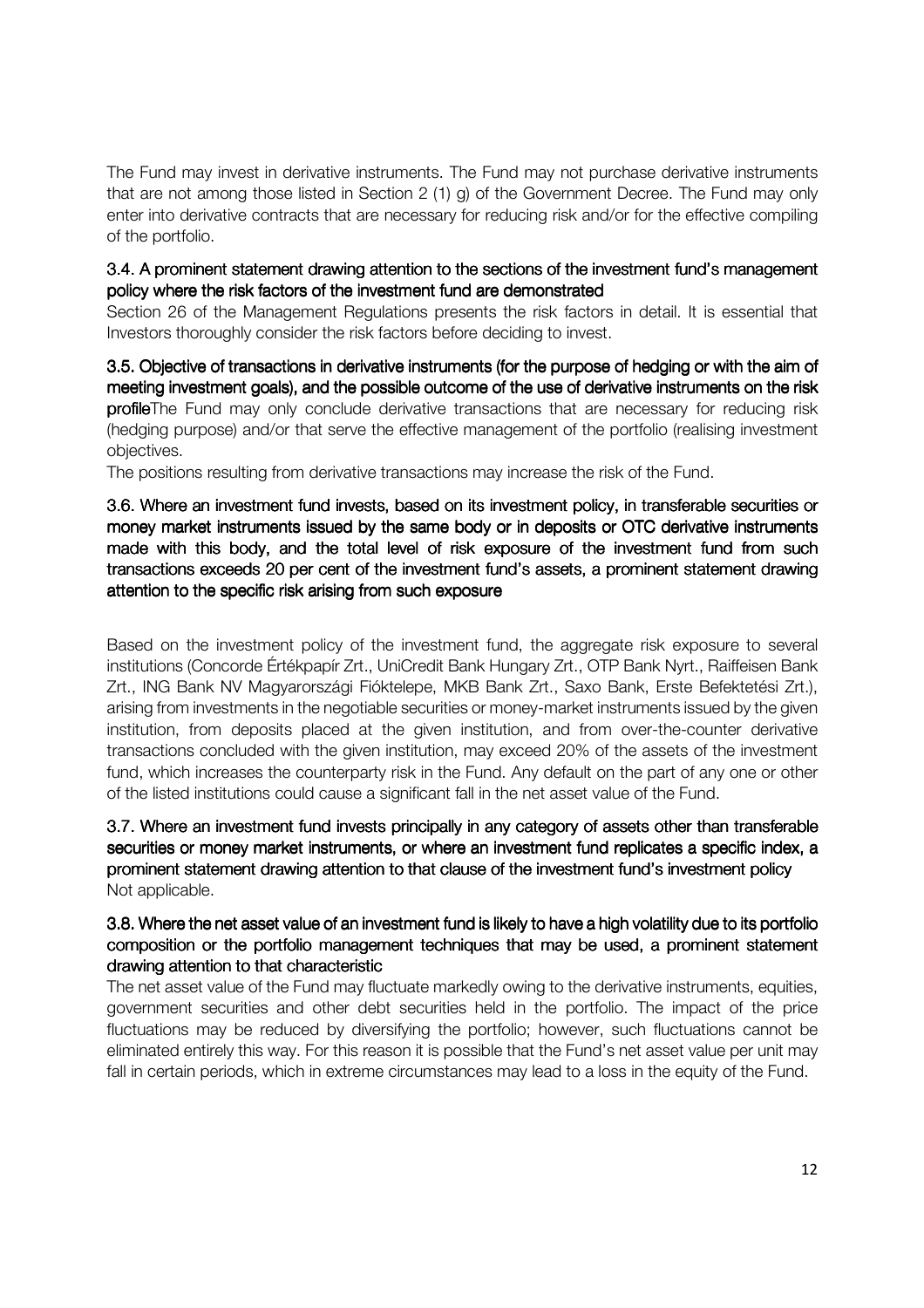The Fund may invest in derivative instruments. The Fund may not purchase derivative instruments that are not among those listed in Section 2 (1) g) of the Government Decree. The Fund may only enter into derivative contracts that are necessary for reducing risk and/or for the effective compiling of the portfolio.

### 3.4. A prominent statement drawing attention to the sections of the investment fund's management policy where the risk factors of the investment fund are demonstrated

Section 26 of the Management Regulations presents the risk factors in detail. It is essential that Investors thoroughly consider the risk factors before deciding to invest.

3.5. Objective of transactions in derivative instruments (for the purpose of hedging or with the aim of meeting investment goals), and the possible outcome of the use of derivative instruments on the risk profileThe Fund may only conclude derivative transactions that are necessary for reducing risk (hedging purpose) and/or that serve the effective management of the portfolio (realising investment objectives.

The positions resulting from derivative transactions may increase the risk of the Fund.

3.6. Where an investment fund invests, based on its investment policy, in transferable securities or money market instruments issued by the same body or in deposits or OTC derivative instruments made with this body, and the total level of risk exposure of the investment fund from such transactions exceeds 20 per cent of the investment fund's assets, a prominent statement drawing attention to the specific risk arising from such exposure

Based on the investment policy of the investment fund, the aggregate risk exposure to several institutions (Concorde Értékpapír Zrt., UniCredit Bank Hungary Zrt., OTP Bank Nyrt., Raiffeisen Bank Zrt., ING Bank NV Magyarországi Fióktelepe, MKB Bank Zrt., Saxo Bank, Erste Befektetési Zrt.), arising from investments in the negotiable securities or money-market instruments issued by the given institution, from deposits placed at the given institution, and from over-the-counter derivative transactions concluded with the given institution, may exceed 20% of the assets of the investment fund, which increases the counterparty risk in the Fund. Any default on the part of any one or other of the listed institutions could cause a significant fall in the net asset value of the Fund.

3.7. Where an investment fund invests principally in any category of assets other than transferable securities or money market instruments, or where an investment fund replicates a specific index, a prominent statement drawing attention to that clause of the investment fund's investment policy Not applicable.

#### 3.8. Where the net asset value of an investment fund is likely to have a high volatility due to its portfolio composition or the portfolio management techniques that may be used, a prominent statement drawing attention to that characteristic

The net asset value of the Fund may fluctuate markedly owing to the derivative instruments, equities, government securities and other debt securities held in the portfolio. The impact of the price fluctuations may be reduced by diversifying the portfolio; however, such fluctuations cannot be eliminated entirely this way. For this reason it is possible that the Fund's net asset value per unit may fall in certain periods, which in extreme circumstances may lead to a loss in the equity of the Fund.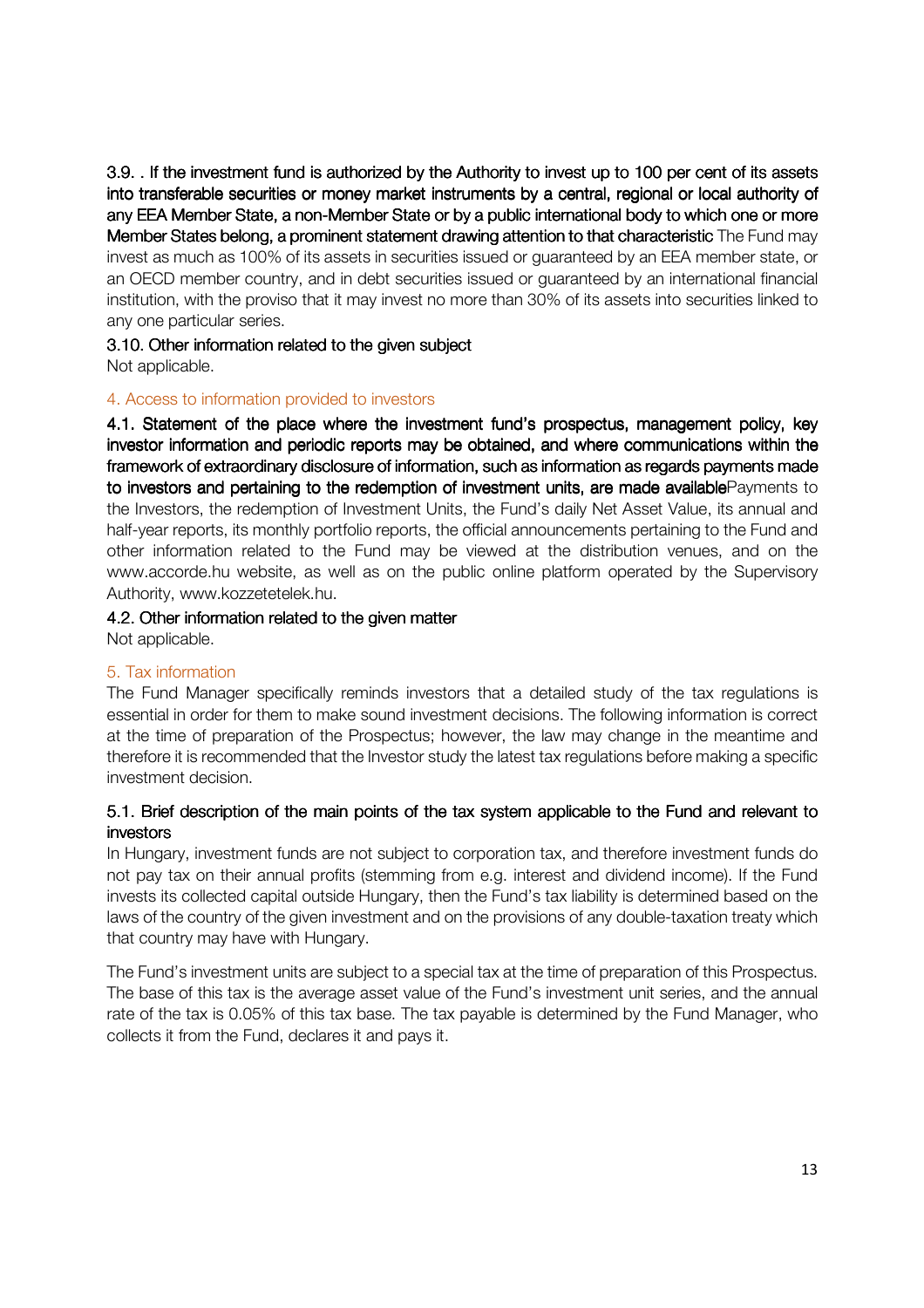3.9. . If the investment fund is authorized by the Authority to invest up to 100 per cent of its assets into transferable securities or money market instruments by a central, regional or local authority of any EEA Member State, a non-Member State or by a public international body to which one or more Member States belong, a prominent statement drawing attention to that characteristic The Fund may invest as much as 100% of its assets in securities issued or guaranteed by an EEA member state, or an OECD member country, and in debt securities issued or guaranteed by an international financial institution, with the proviso that it may invest no more than 30% of its assets into securities linked to any one particular series.

## 3.10. Other information related to the given subject

Not applicable.

#### 4. Access to information provided to investors

4.1. Statement of the place where the investment fund's prospectus, management policy, key investor information and periodic reports may be obtained, and where communications within the framework of extraordinary disclosure of information, such as information as regards payments made to investors and pertaining to the redemption of investment units, are made available Payments to the Investors, the redemption of Investment Units, the Fund's daily Net Asset Value, its annual and half-year reports, its monthly portfolio reports, the official announcements pertaining to the Fund and other information related to the Fund may be viewed at the distribution venues, and on the www.accorde.hu website, as well as on the public online platform operated by the Supervisory Authority, www.kozzetetelek.hu.

## 4.2. Other information related to the given matter

Not applicable.

#### 5. Tax information

The Fund Manager specifically reminds investors that a detailed study of the tax regulations is essential in order for them to make sound investment decisions. The following information is correct at the time of preparation of the Prospectus; however, the law may change in the meantime and therefore it is recommended that the Investor study the latest tax regulations before making a specific investment decision.

## 5.1. Brief description of the main points of the tax system applicable to the Fund and relevant to investors

In Hungary, investment funds are not subject to corporation tax, and therefore investment funds do not pay tax on their annual profits (stemming from e.g. interest and dividend income). If the Fund invests its collected capital outside Hungary, then the Fund's tax liability is determined based on the laws of the country of the given investment and on the provisions of any double-taxation treaty which that country may have with Hungary.

The Fund's investment units are subject to a special tax at the time of preparation of this Prospectus. The base of this tax is the average asset value of the Fund's investment unit series, and the annual rate of the tax is 0.05% of this tax base. The tax payable is determined by the Fund Manager, who collects it from the Fund, declares it and pays it.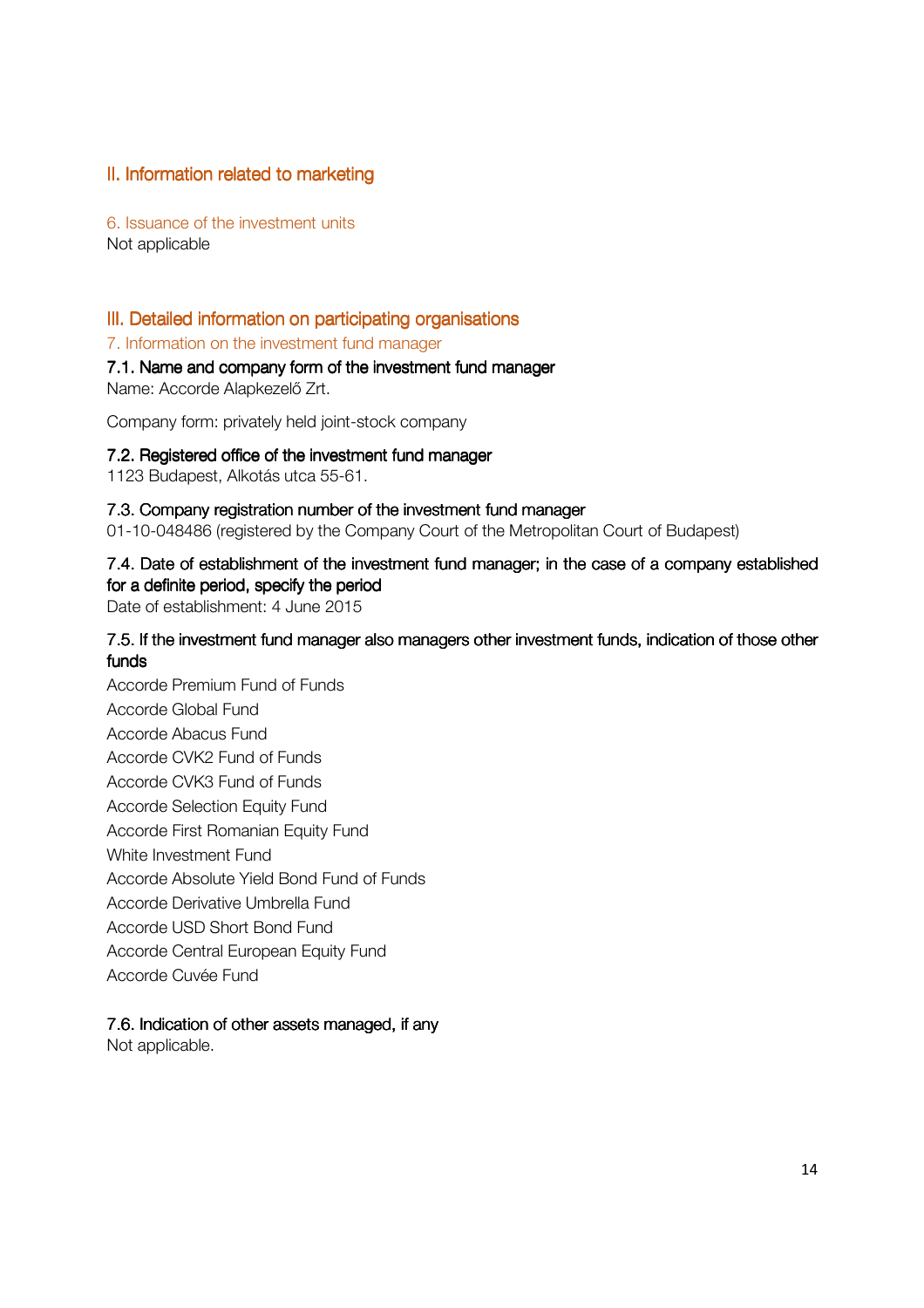## II. Information related to marketing

6. Issuance of the investment units Not applicable

## III. Detailed information on participating organisations

7. Information on the investment fund manager

#### 7.1. Name and company form of the investment fund manager

Name: Accorde Alapkezelő Zrt.

Company form: privately held joint-stock company

#### 7.2. Registered office of the investment fund manager

1123 Budapest, Alkotás utca 55-61.

#### 7.3. Company registration number of the investment fund manager

01-10-048486 (registered by the Company Court of the Metropolitan Court of Budapest)

## 7.4. Date of establishment of the investment fund manager; in the case of a company established for a definite period, specify the period

Date of establishment: 4 June 2015

### 7.5. If the investment fund manager also managers other investment funds, indication of those other funds

Accorde Premium Fund of Funds Accorde Global Fund Accorde Abacus Fund Accorde CVK2 Fund of Funds Accorde CVK3 Fund of Funds Accorde Selection Equity Fund Accorde First Romanian Equity Fund White Investment Fund Accorde Absolute Yield Bond Fund of Funds Accorde Derivative Umbrella Fund Accorde USD Short Bond Fund Accorde Central European Equity Fund Accorde Cuvée Fund

#### 7.6. Indication of other assets managed, if any

Not applicable.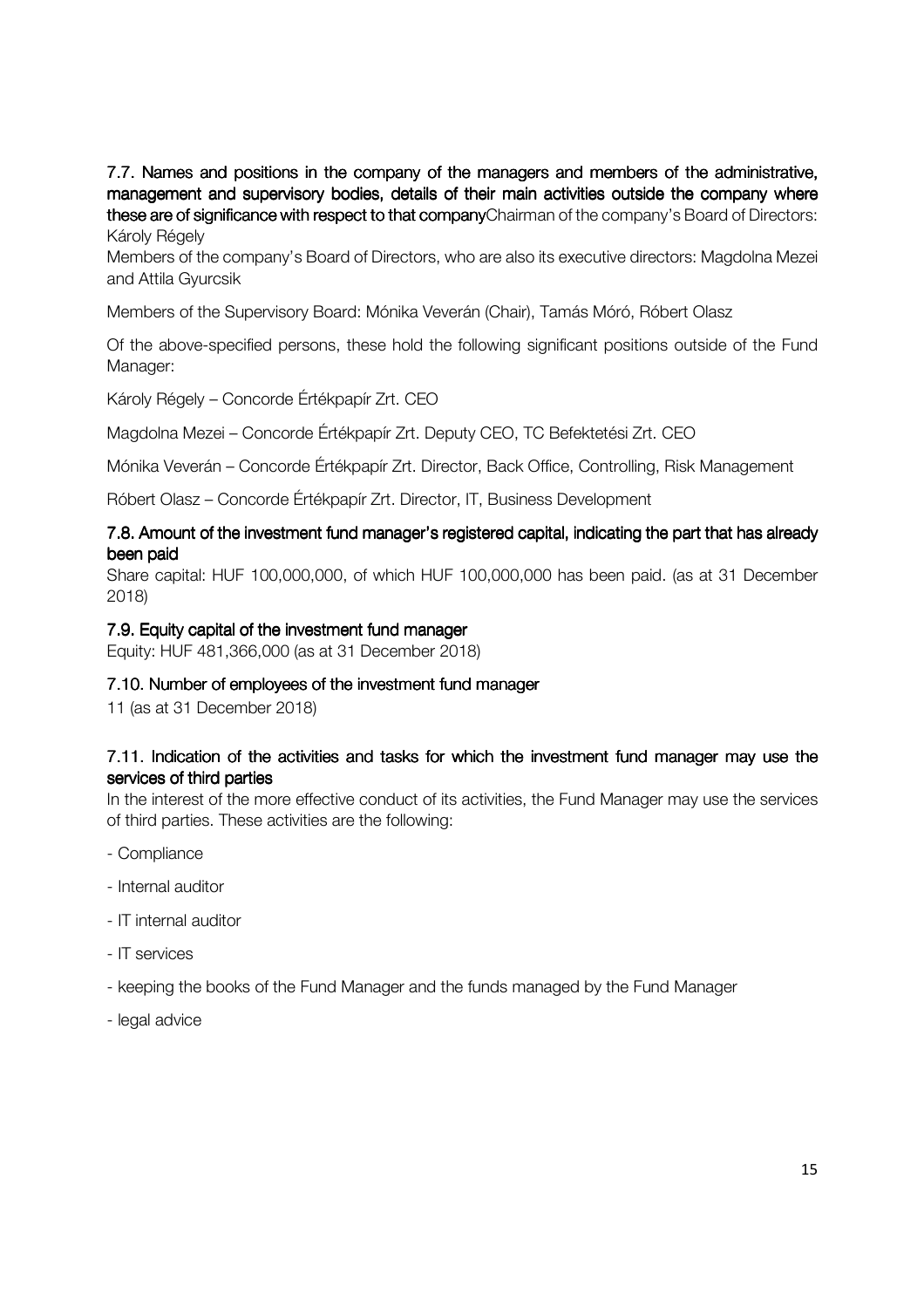7.7. Names and positions in the company of the managers and members of the administrative, management and supervisory bodies, details of their main activities outside the company where these are of significance with respect to that companyChairman of the company's Board of Directors: Károly Régely

Members of the company's Board of Directors, who are also its executive directors: Magdolna Mezei and Attila Gyurcsik

Members of the Supervisory Board: Mónika Veverán (Chair), Tamás Móró, Róbert Olasz

Of the above-specified persons, these hold the following significant positions outside of the Fund Manager:

Károly Régely – Concorde Értékpapír Zrt. CEO

Magdolna Mezei – Concorde Értékpapír Zrt. Deputy CEO, TC Befektetési Zrt. CEO

Mónika Veverán – Concorde Értékpapír Zrt. Director, Back Office, Controlling, Risk Management

Róbert Olasz – Concorde Értékpapír Zrt. Director, IT, Business Development

#### 7.8. Amount of the investment fund manager's registered capital, indicating the part that has already been paid

Share capital: HUF 100,000,000, of which HUF 100,000,000 has been paid. (as at 31 December 2018)

#### 7.9. Equity capital of the investment fund manager

Equity: HUF 481,366,000 (as at 31 December 2018)

#### 7.10. Number of employees of the investment fund manager

11 (as at 31 December 2018)

#### 7.11. Indication of the activities and tasks for which the investment fund manager may use the services of third parties

In the interest of the more effective conduct of its activities, the Fund Manager may use the services of third parties. These activities are the following:

- Compliance
- Internal auditor
- IT internal auditor
- IT services
- keeping the books of the Fund Manager and the funds managed by the Fund Manager
- legal advice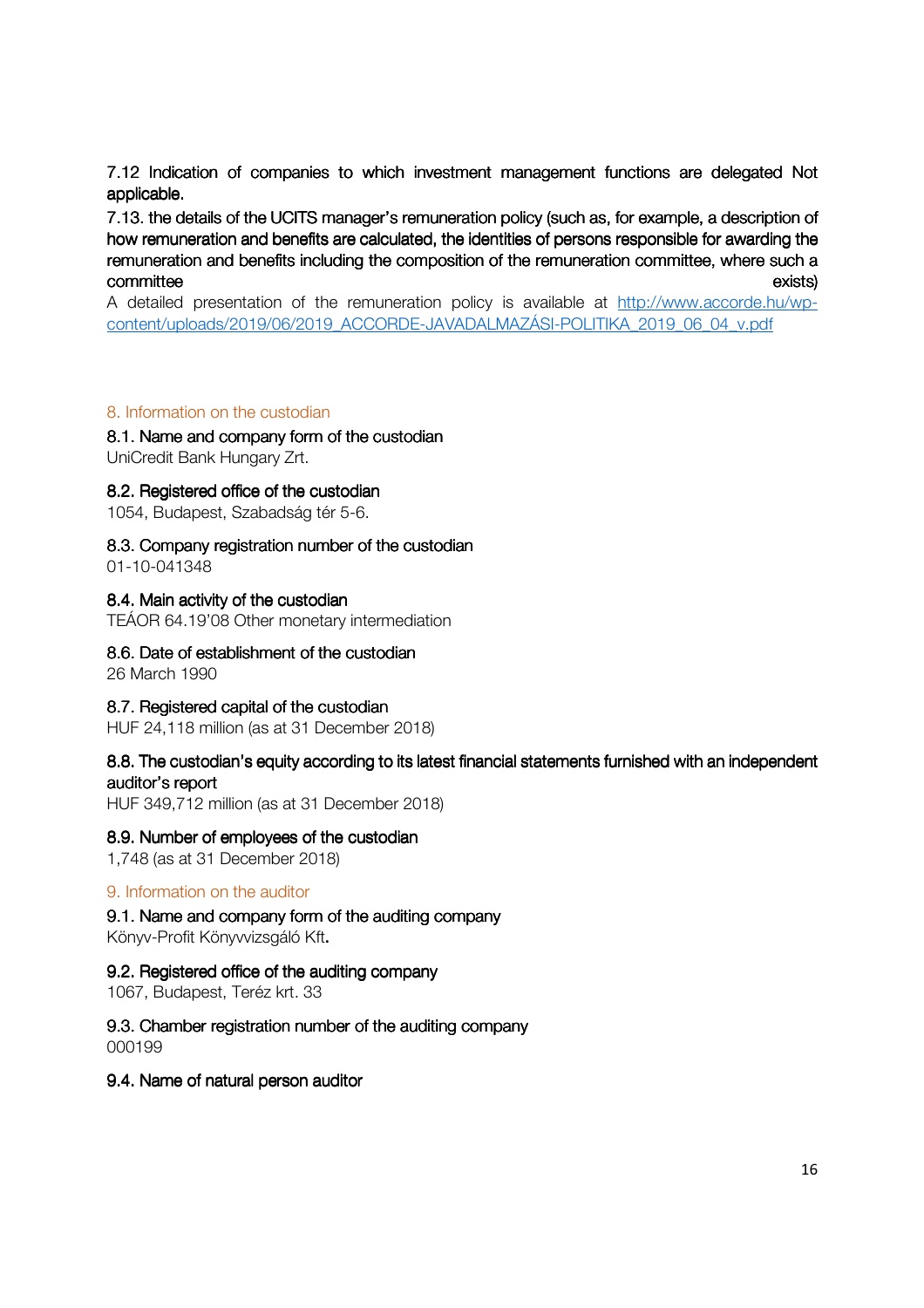7.12 Indication of companies to which investment management functions are delegated Not applicable.

7.13. the details of the UCITS manager's remuneration policy (such as, for example, a description of how remuneration and benefits are calculated, the identities of persons responsible for awarding the remuneration and benefits including the composition of the remuneration committee, where such a committee exists) exists)

A detailed presentation of the remuneration policy is available at http://www.accorde.hu/wpcontent/uploads/2019/06/2019\_ACCORDE-JAVADALMAZÁSI-POLITIKA\_2019\_06\_04\_v.pdf

#### 8. Information on the custodian

#### 8.1. Name and company form of the custodian

UniCredit Bank Hungary Zrt.

#### 8.2. Registered office of the custodian

1054, Budapest, Szabadság tér 5-6.

#### 8.3. Company registration number of the custodian

01-10-041348

#### 8.4. Main activity of the custodian

TEÁOR 64.19'08 Other monetary intermediation

#### 8.6. Date of establishment of the custodian

26 March 1990

#### 8.7. Registered capital of the custodian

HUF 24,118 million (as at 31 December 2018)

#### 8.8. The custodian's equity according to its latest financial statements furnished with an independent auditor's report

HUF 349,712 million (as at 31 December 2018)

#### 8.9. Number of employees of the custodian

1,748 (as at 31 December 2018)

#### 9. Information on the auditor

9.1. Name and company form of the auditing company Könyv-Profit Könyvvizsgáló Kft**.**

#### 9.2. Registered office of the auditing company

1067, Budapest, Teréz krt. 33

#### 9.3. Chamber registration number of the auditing company 000199

9.4. Name of natural person auditor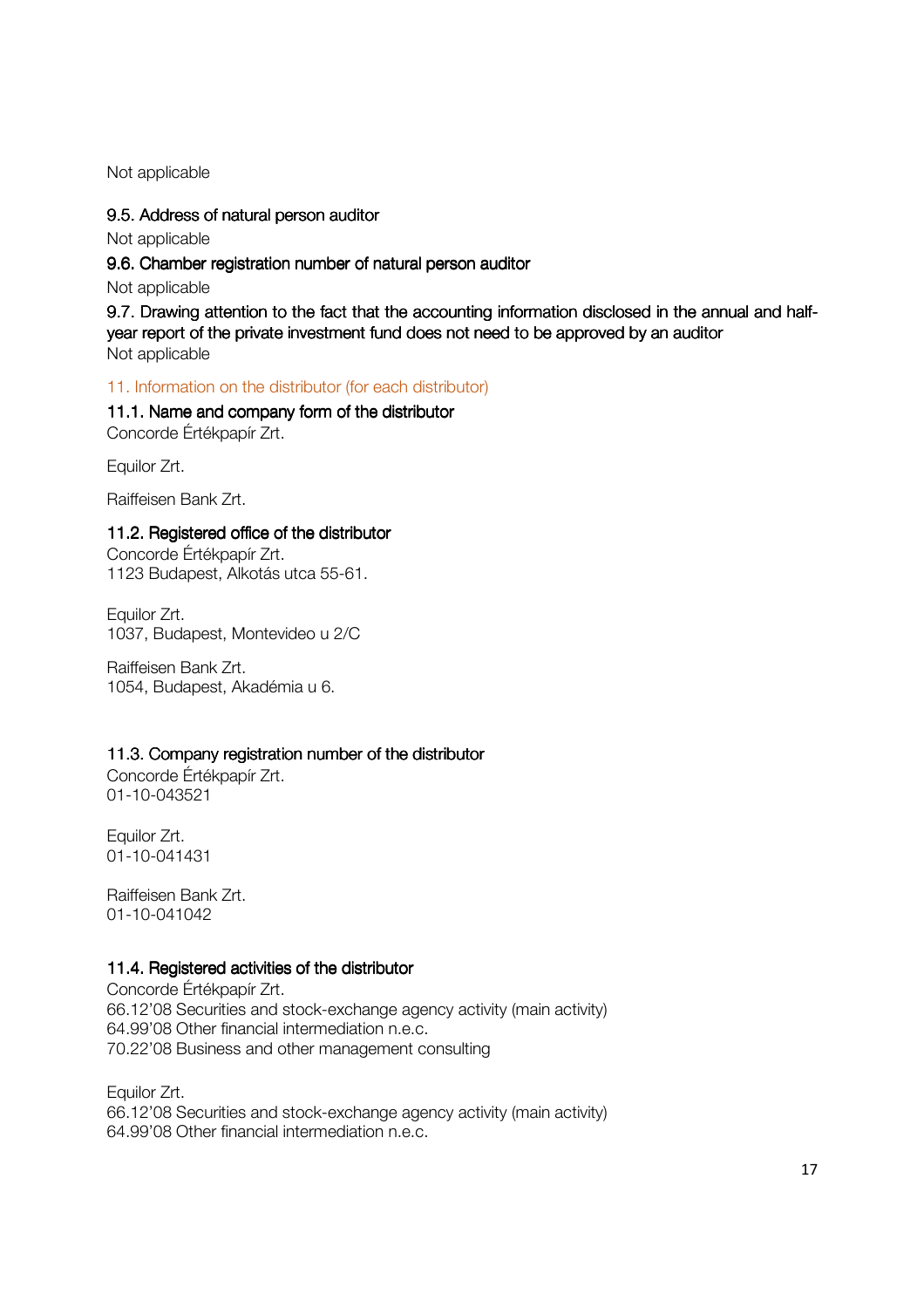Not applicable

#### 9.5. Address of natural person auditor

Not applicable

9.6. Chamber registration number of natural person auditor

Not applicable

9.7. Drawing attention to the fact that the accounting information disclosed in the annual and halfyear report of the private investment fund does not need to be approved by an auditor Not applicable

#### 11. Information on the distributor (for each distributor)

11.1. Name and company form of the distributor Concorde Értékpapír Zrt.

Equilor Zrt.

Raiffeisen Bank Zrt.

#### 11.2. Registered office of the distributor

Concorde Értékpapír Zrt. 1123 Budapest, Alkotás utca 55-61.

Equilor Zrt. 1037, Budapest, Montevideo u 2/C

Raiffeisen Bank Zrt. 1054, Budapest, Akadémia u 6.

#### 11.3. Company registration number of the distributor

Concorde Értékpapír Zrt. 01-10-043521

Equilor Zrt. 01-10-041431

Raiffeisen Bank Zrt. 01-10-041042

#### 11.4. Registered activities of the distributor

Concorde Értékpapír Zrt. 66.12'08 Securities and stock-exchange agency activity (main activity) 64.99'08 Other financial intermediation n.e.c. 70.22'08 Business and other management consulting

Equilor Zrt. 66.12'08 Securities and stock-exchange agency activity (main activity) 64.99'08 Other financial intermediation n.e.c.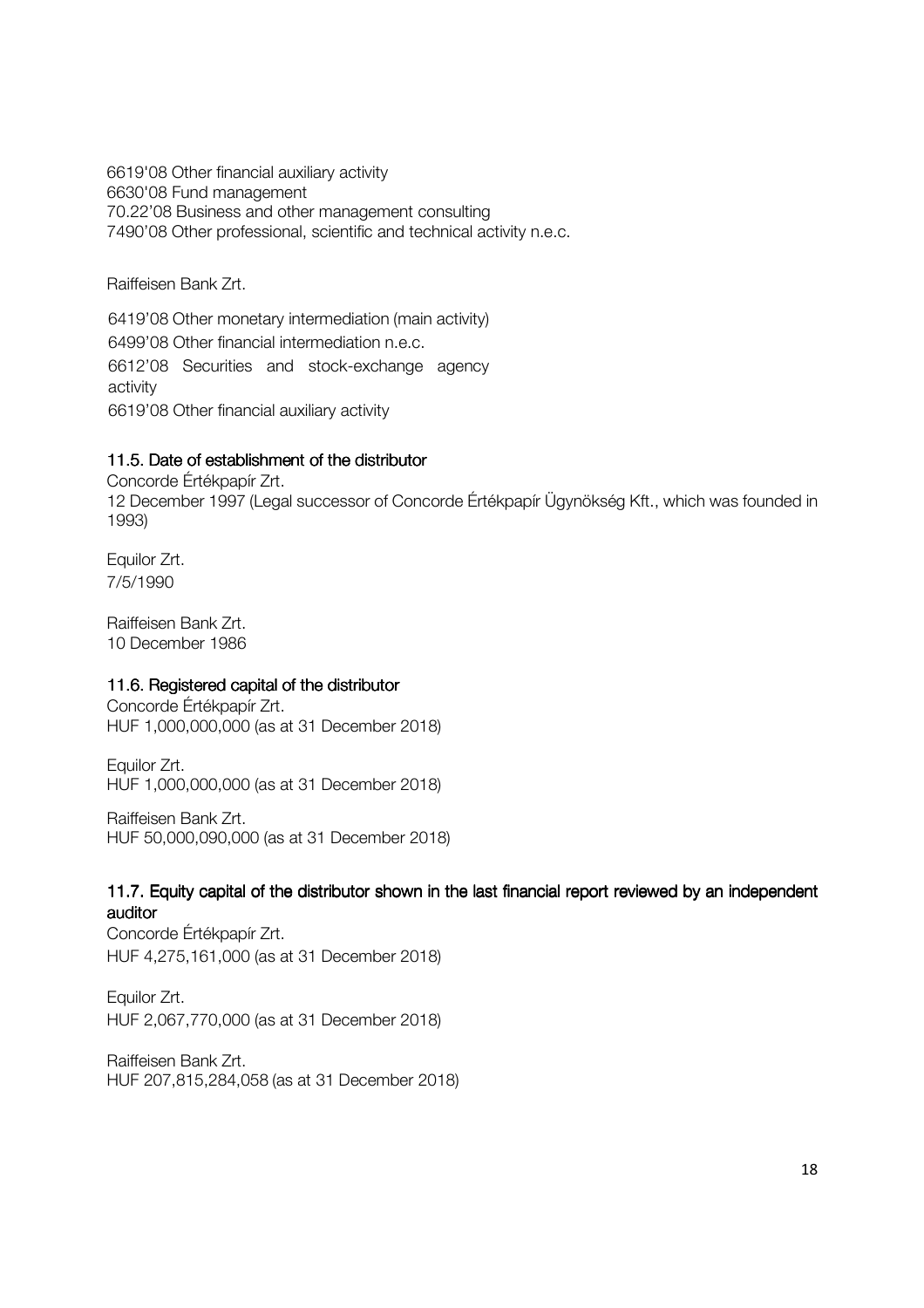6619'08 Other financial auxiliary activity 6630'08 Fund management 70.22'08 Business and other management consulting 7490'08 Other professional, scientific and technical activity n.e.c.

Raiffeisen Bank Zrt.

6419'08 Other monetary intermediation (main activity) 6499'08 Other financial intermediation n.e.c. 6612'08 Securities and stock-exchange agency activity 6619'08 Other financial auxiliary activity

## 11.5. Date of establishment of the distributor

Concorde Értékpapír Zrt. 12 December 1997 (Legal successor of Concorde Értékpapír Ügynökség Kft., which was founded in 1993)

Equilor Zrt. 7/5/1990

Raiffeisen Bank Zrt. 10 December 1986

## 11.6. Registered capital of the distributor

Concorde Értékpapír Zrt. HUF 1,000,000,000 (as at 31 December 2018)

Equilor Zrt. HUF 1,000,000,000 (as at 31 December 2018)

Raiffeisen Bank Zrt. HUF 50,000,090,000 (as at 31 December 2018)

#### 11.7. Equity capital of the distributor shown in the last financial report reviewed by an independent auditor

Concorde Értékpapír Zrt. HUF 4,275,161,000 (as at 31 December 2018)

Equilor Zrt. HUF 2,067,770,000 (as at 31 December 2018)

Raiffeisen Bank Zrt. HUF 207,815,284,058 (as at 31 December 2018)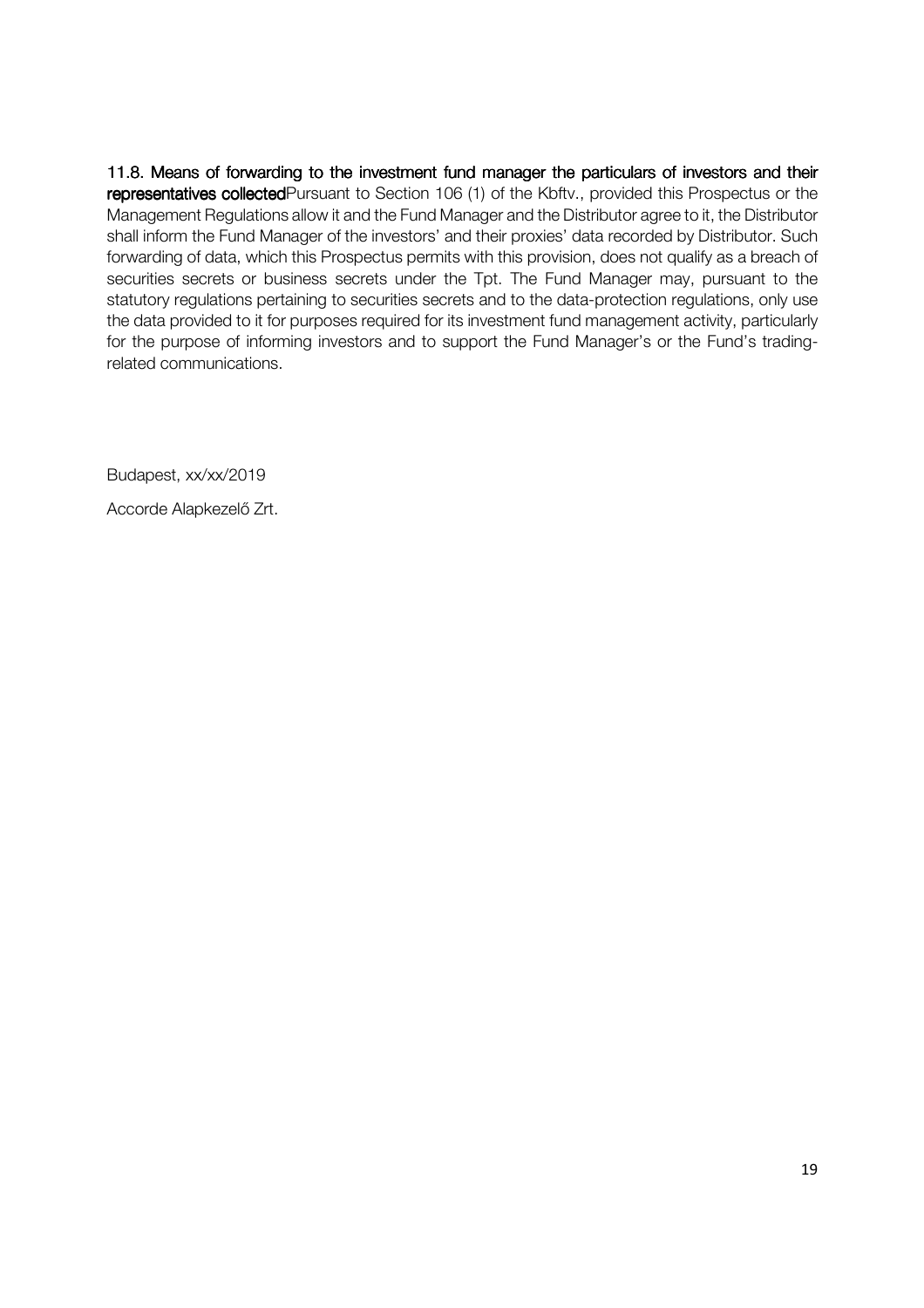11.8. Means of forwarding to the investment fund manager the particulars of investors and their representatives collected Pursuant to Section 106 (1) of the Kbftv., provided this Prospectus or the Management Regulations allow it and the Fund Manager and the Distributor agree to it, the Distributor shall inform the Fund Manager of the investors' and their proxies' data recorded by Distributor. Such forwarding of data, which this Prospectus permits with this provision, does not qualify as a breach of securities secrets or business secrets under the Tpt. The Fund Manager may, pursuant to the statutory regulations pertaining to securities secrets and to the data-protection regulations, only use the data provided to it for purposes required for its investment fund management activity, particularly for the purpose of informing investors and to support the Fund Manager's or the Fund's tradingrelated communications.

Budapest, xx/xx/2019

Accorde Alapkezelő Zrt.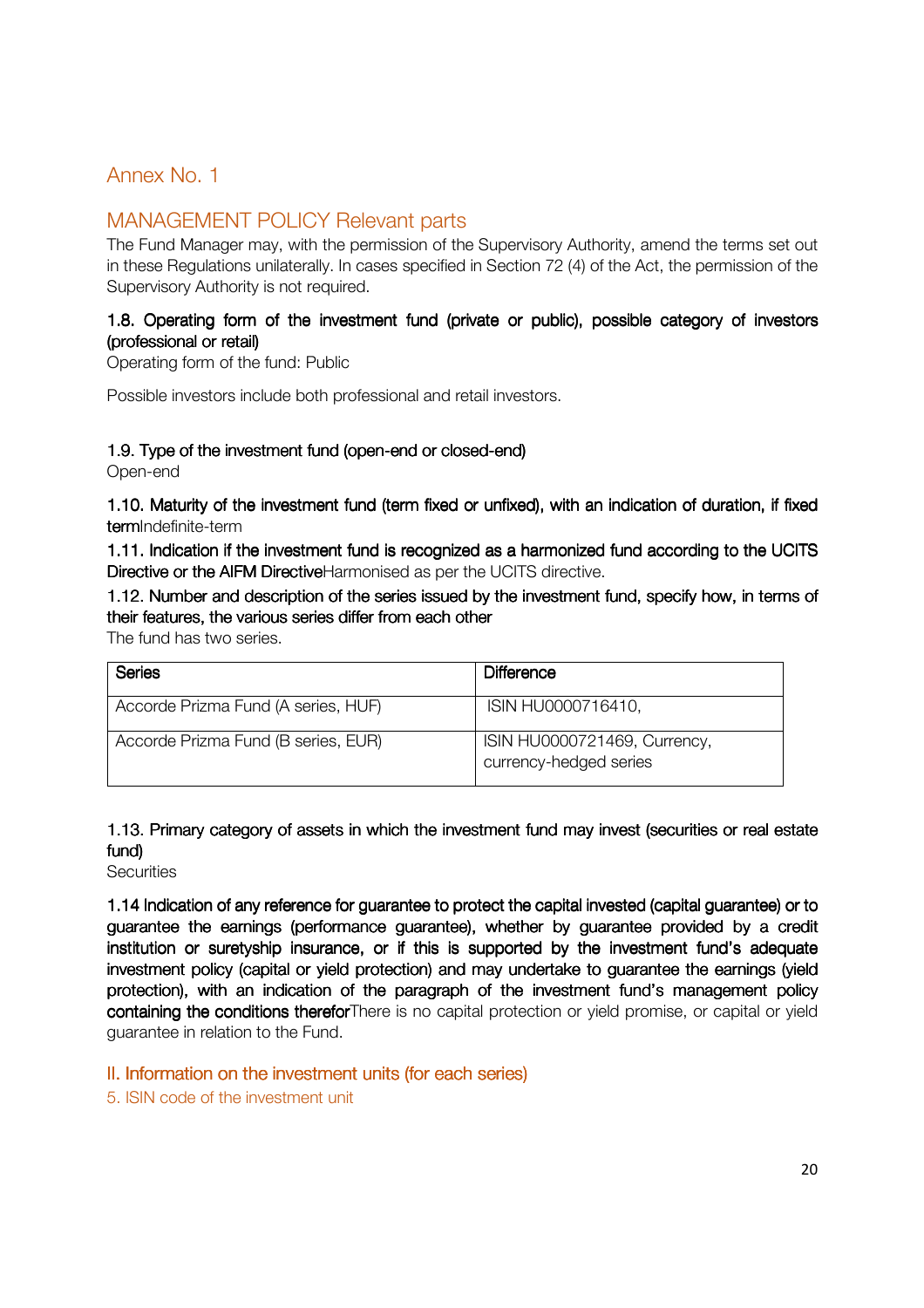## Annex No. 1

## MANAGEMENT POLICY Relevant parts

The Fund Manager may, with the permission of the Supervisory Authority, amend the terms set out in these Regulations unilaterally. In cases specified in Section 72 (4) of the Act, the permission of the Supervisory Authority is not required.

#### 1.8. Operating form of the investment fund (private or public), possible category of investors (professional or retail)

Operating form of the fund: Public

Possible investors include both professional and retail investors.

#### 1.9. Type of the investment fund (open-end or closed-end)

Open-end

1.10. Maturity of the investment fund (term fixed or unfixed), with an indication of duration, if fixed termIndefinite-term

1.11. Indication if the investment fund is recognized as a harmonized fund according to the UCITS Directive or the AIFM DirectiveHarmonised as per the UCITS directive.

1.12. Number and description of the series issued by the investment fund, specify how, in terms of their features, the various series differ from each other

The fund has two series.

| Series                              | Difference                                             |
|-------------------------------------|--------------------------------------------------------|
| Accorde Prizma Fund (A series, HUF) | ISIN HU0000716410,                                     |
| Accorde Prizma Fund (B series, EUR) | ISIN HU0000721469, Currency,<br>currency-hedged series |

## 1.13. Primary category of assets in which the investment fund may invest (securities or real estate fund)

**Securities** 

1.14 Indication of any reference for guarantee to protect the capital invested (capital guarantee) or to guarantee the earnings (performance guarantee), whether by guarantee provided by a credit institution or suretyship insurance, or if this is supported by the investment fund's adequate investment policy (capital or yield protection) and may undertake to guarantee the earnings (yield protection), with an indication of the paragraph of the investment fund's management policy containing the conditions thereforThere is no capital protection or yield promise, or capital or yield guarantee in relation to the Fund.

II. Information on the investment units (for each series)

5. ISIN code of the investment unit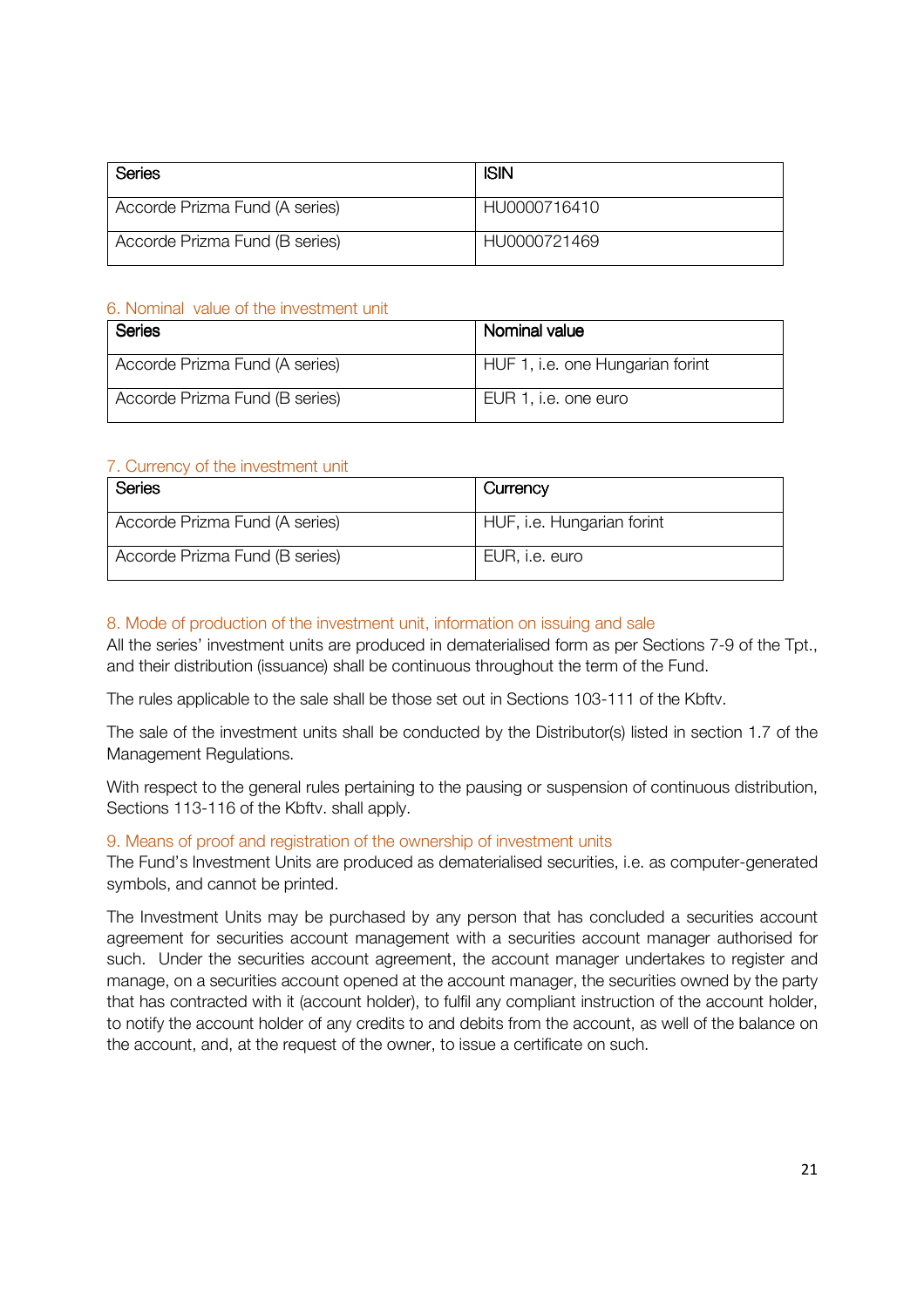| Series                         | <b>ISIN</b>  |
|--------------------------------|--------------|
| Accorde Prizma Fund (A series) | HU0000716410 |
| Accorde Prizma Fund (B series) | HU0000721469 |

### 6. Nominal value of the investment unit

| Series                         | Nominal value                    |
|--------------------------------|----------------------------------|
| Accorde Prizma Fund (A series) | HUF 1, i.e. one Hungarian forint |
| Accorde Prizma Fund (B series) | EUR 1, i.e. one euro             |

#### 7. Currency of the investment unit

| Series                         | Currency                   |
|--------------------------------|----------------------------|
| Accorde Prizma Fund (A series) | HUF, i.e. Hungarian forint |
| Accorde Prizma Fund (B series) | EUR, i.e. euro             |

## 8. Mode of production of the investment unit, information on issuing and sale

All the series' investment units are produced in dematerialised form as per Sections 7-9 of the Tpt., and their distribution (issuance) shall be continuous throughout the term of the Fund.

The rules applicable to the sale shall be those set out in Sections 103-111 of the Kbftv.

The sale of the investment units shall be conducted by the Distributor(s) listed in section 1.7 of the Management Regulations.

With respect to the general rules pertaining to the pausing or suspension of continuous distribution, Sections 113-116 of the Kbftv. shall apply.

#### 9. Means of proof and registration of the ownership of investment units

The Fund's Investment Units are produced as dematerialised securities, i.e. as computer-generated symbols, and cannot be printed.

The Investment Units may be purchased by any person that has concluded a securities account agreement for securities account management with a securities account manager authorised for such. Under the securities account agreement, the account manager undertakes to register and manage, on a securities account opened at the account manager, the securities owned by the party that has contracted with it (account holder), to fulfil any compliant instruction of the account holder, to notify the account holder of any credits to and debits from the account, as well of the balance on the account, and, at the request of the owner, to issue a certificate on such.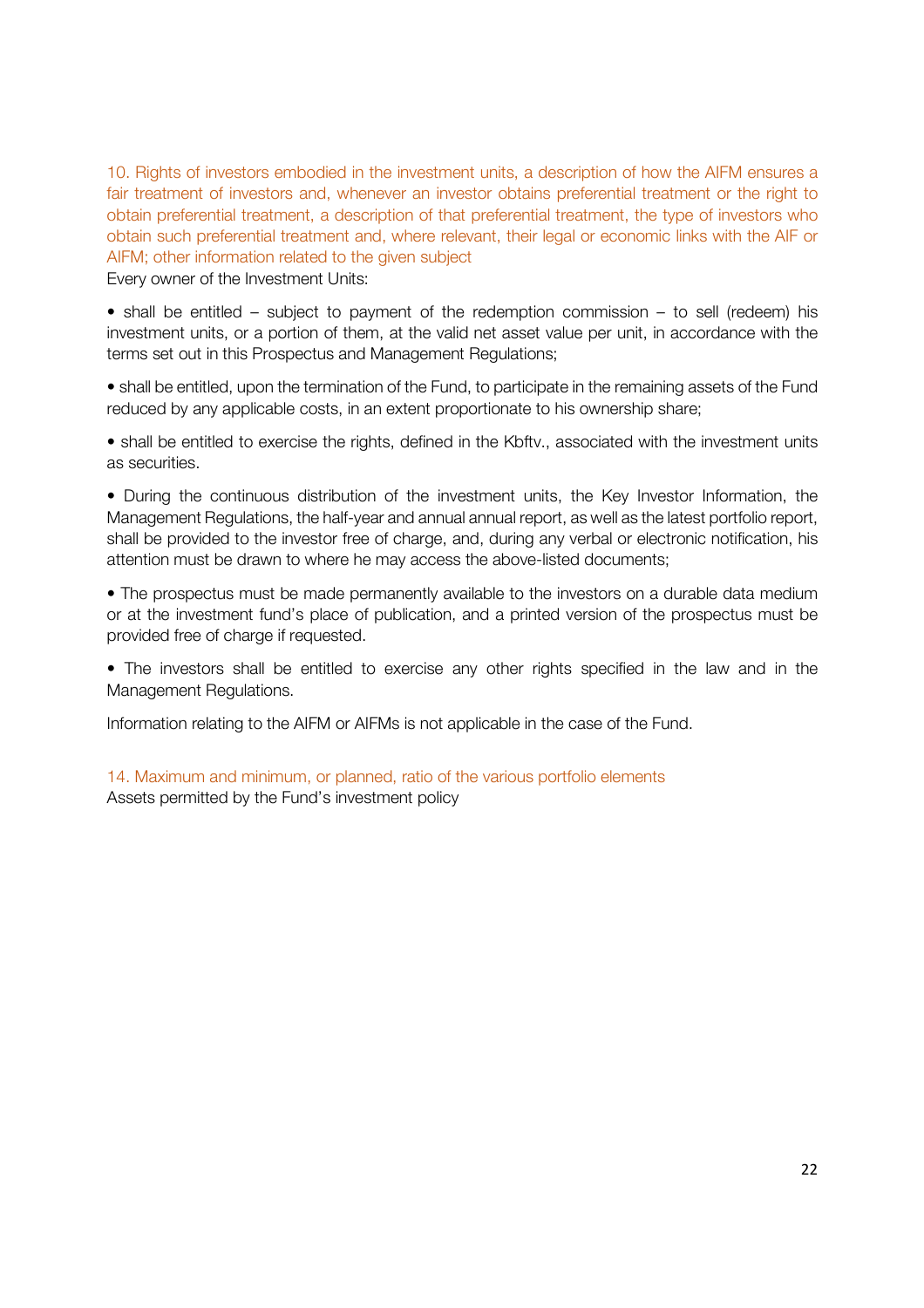10. Rights of investors embodied in the investment units, a description of how the AIFM ensures a fair treatment of investors and, whenever an investor obtains preferential treatment or the right to obtain preferential treatment, a description of that preferential treatment, the type of investors who obtain such preferential treatment and, where relevant, their legal or economic links with the AIF or AIFM; other information related to the given subject

Every owner of the Investment Units:

• shall be entitled – subject to payment of the redemption commission – to sell (redeem) his investment units, or a portion of them, at the valid net asset value per unit, in accordance with the terms set out in this Prospectus and Management Regulations;

• shall be entitled, upon the termination of the Fund, to participate in the remaining assets of the Fund reduced by any applicable costs, in an extent proportionate to his ownership share;

• shall be entitled to exercise the rights, defined in the Kbftv., associated with the investment units as securities.

• During the continuous distribution of the investment units, the Key Investor Information, the Management Regulations, the half-year and annual annual report, as well as the latest portfolio report, shall be provided to the investor free of charge, and, during any verbal or electronic notification, his attention must be drawn to where he may access the above-listed documents;

• The prospectus must be made permanently available to the investors on a durable data medium or at the investment fund's place of publication, and a printed version of the prospectus must be provided free of charge if requested.

• The investors shall be entitled to exercise any other rights specified in the law and in the Management Regulations.

Information relating to the AIFM or AIFMs is not applicable in the case of the Fund.

14. Maximum and minimum, or planned, ratio of the various portfolio elements Assets permitted by the Fund's investment policy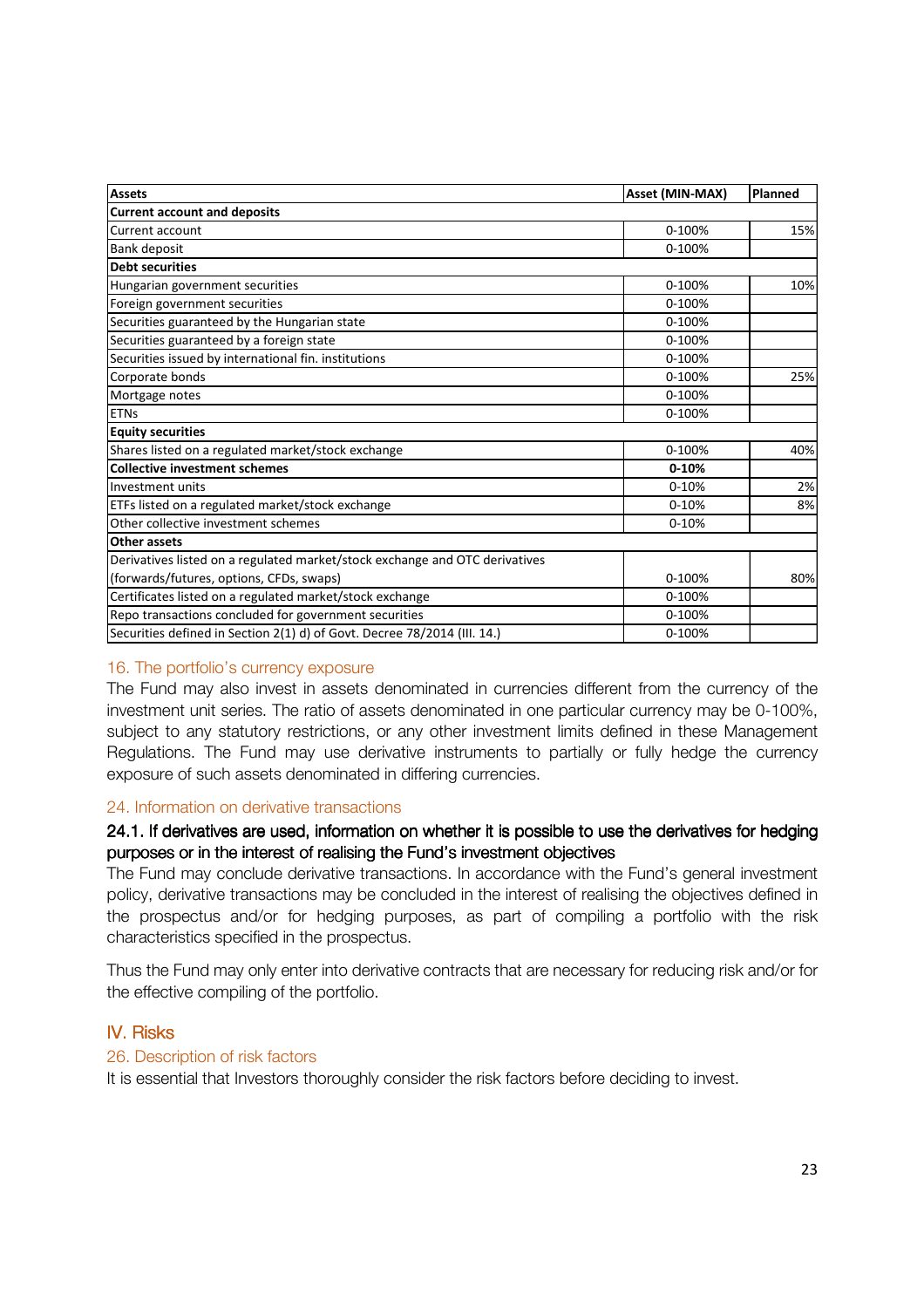| <b>Assets</b>                                                               | Asset (MIN-MAX) | Planned |
|-----------------------------------------------------------------------------|-----------------|---------|
| <b>Current account and deposits</b>                                         |                 |         |
| Current account                                                             | 0-100%          | 15%     |
| Bank deposit                                                                | 0-100%          |         |
| <b>Debt securities</b>                                                      |                 |         |
| Hungarian government securities                                             | 0-100%          | 10%     |
| Foreign government securities                                               | 0-100%          |         |
| Securities guaranteed by the Hungarian state                                | 0-100%          |         |
| Securities guaranteed by a foreign state                                    | 0-100%          |         |
| Securities issued by international fin. institutions                        | 0-100%          |         |
| Corporate bonds                                                             | 0-100%          | 25%     |
| Mortgage notes                                                              | 0-100%          |         |
| <b>ETNs</b>                                                                 | 0-100%          |         |
| <b>Equity securities</b>                                                    |                 |         |
| Shares listed on a regulated market/stock exchange                          | 0-100%          | 40%     |
| <b>Collective investment schemes</b>                                        | $0 - 10%$       |         |
| Investment units                                                            | $0 - 10%$       | 2%      |
| ETFs listed on a regulated market/stock exchange                            | $0 - 10%$       | 8%      |
| Other collective investment schemes                                         | $0 - 10%$       |         |
| Other assets                                                                |                 |         |
| Derivatives listed on a regulated market/stock exchange and OTC derivatives |                 |         |
| (forwards/futures, options, CFDs, swaps)                                    | 0-100%          | 80%     |
| Certificates listed on a regulated market/stock exchange                    | 0-100%          |         |
| Repo transactions concluded for government securities                       | 0-100%          |         |
| Securities defined in Section 2(1) d) of Govt. Decree 78/2014 (III. 14.)    | 0-100%          |         |

#### 16. The portfolio's currency exposure

The Fund may also invest in assets denominated in currencies different from the currency of the investment unit series. The ratio of assets denominated in one particular currency may be 0-100%, subject to any statutory restrictions, or any other investment limits defined in these Management Regulations. The Fund may use derivative instruments to partially or fully hedge the currency exposure of such assets denominated in differing currencies.

#### 24. Information on derivative transactions

#### 24.1. If derivatives are used, information on whether it is possible to use the derivatives for hedging purposes or in the interest of realising the Fund's investment objectives

The Fund may conclude derivative transactions. In accordance with the Fund's general investment policy, derivative transactions may be concluded in the interest of realising the objectives defined in the prospectus and/or for hedging purposes, as part of compiling a portfolio with the risk characteristics specified in the prospectus.

Thus the Fund may only enter into derivative contracts that are necessary for reducing risk and/or for the effective compiling of the portfolio.

#### **IV. Risks**

#### 26. Description of risk factors

It is essential that Investors thoroughly consider the risk factors before deciding to invest.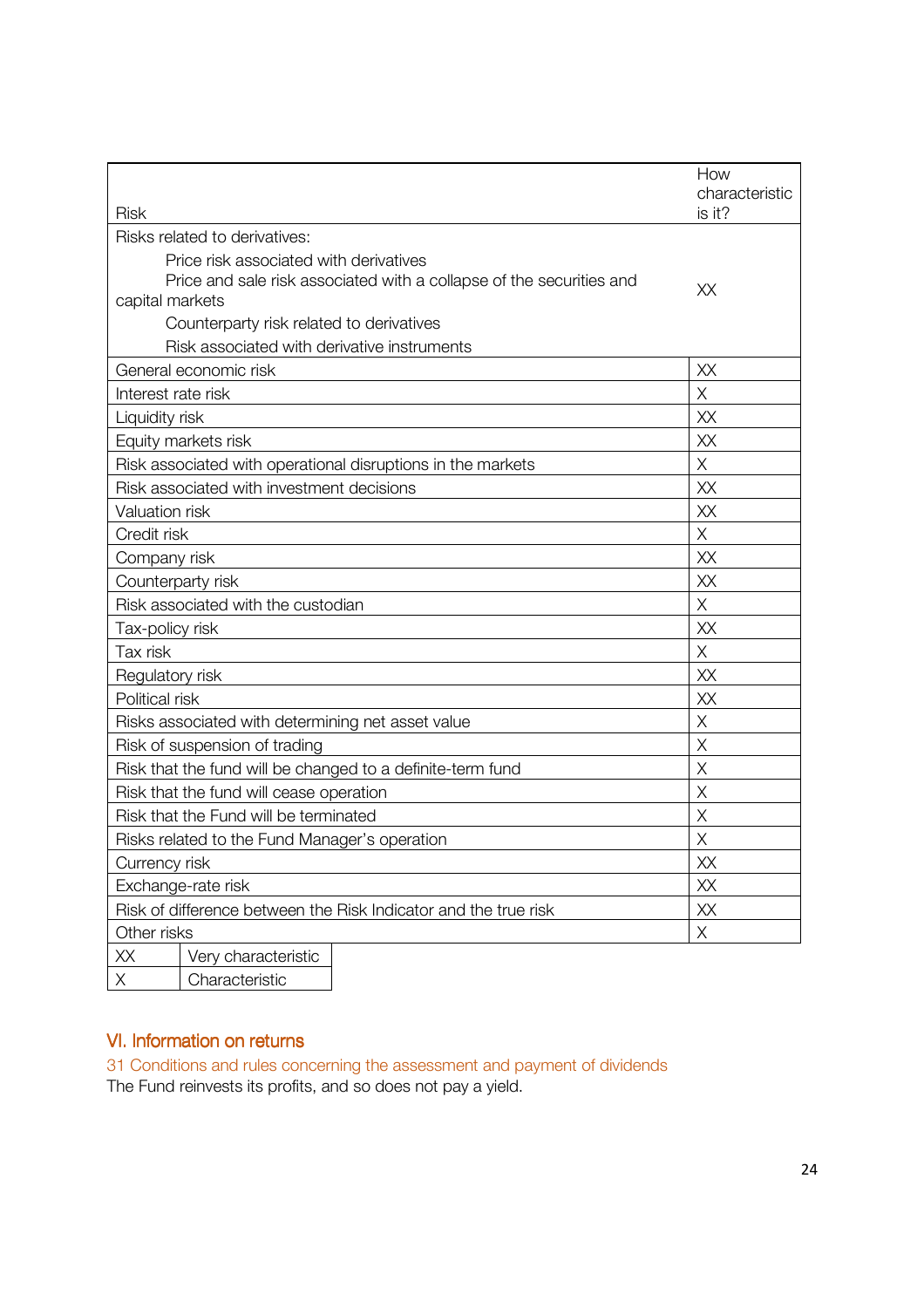|                    |                                                                                                                | How<br>characteristic |
|--------------------|----------------------------------------------------------------------------------------------------------------|-----------------------|
| <b>Risk</b>        |                                                                                                                | is it?                |
|                    | Risks related to derivatives:                                                                                  |                       |
|                    | Price risk associated with derivatives<br>Price and sale risk associated with a collapse of the securities and | XХ                    |
| capital markets    |                                                                                                                |                       |
|                    | Counterparty risk related to derivatives                                                                       |                       |
|                    | Risk associated with derivative instruments                                                                    |                       |
|                    | General economic risk                                                                                          | XX                    |
| Interest rate risk |                                                                                                                | Χ                     |
| Liquidity risk     |                                                                                                                | XX                    |
|                    | Equity markets risk                                                                                            | XX                    |
|                    | Risk associated with operational disruptions in the markets                                                    | X                     |
|                    | Risk associated with investment decisions                                                                      | XX                    |
| Valuation risk     |                                                                                                                | XX                    |
| Credit risk        |                                                                                                                | X                     |
| Company risk       |                                                                                                                | XX                    |
|                    | Counterparty risk                                                                                              | XX                    |
|                    | Risk associated with the custodian                                                                             | Χ                     |
| Tax-policy risk    |                                                                                                                | XX                    |
| Tax risk           |                                                                                                                | X                     |
| Regulatory risk    |                                                                                                                | XX                    |
| Political risk     |                                                                                                                | XX                    |
|                    | Risks associated with determining net asset value                                                              | Χ                     |
|                    | Risk of suspension of trading                                                                                  | Χ                     |
|                    | Risk that the fund will be changed to a definite-term fund                                                     | Χ                     |
|                    | Risk that the fund will cease operation                                                                        | Χ                     |
|                    | Risk that the Fund will be terminated                                                                          | Χ                     |
|                    | Risks related to the Fund Manager's operation                                                                  | Χ                     |
| Currency risk      |                                                                                                                | ХX                    |
| Exchange-rate risk |                                                                                                                | XX                    |
|                    | Risk of difference between the Risk Indicator and the true risk                                                | ХX                    |
| Other risks        |                                                                                                                | $\mathsf{X}% _{0}$    |
| XX                 | Very characteristic                                                                                            |                       |
| Χ                  | Characteristic                                                                                                 |                       |

## VI. Information on returns

31 Conditions and rules concerning the assessment and payment of dividends The Fund reinvests its profits, and so does not pay a yield.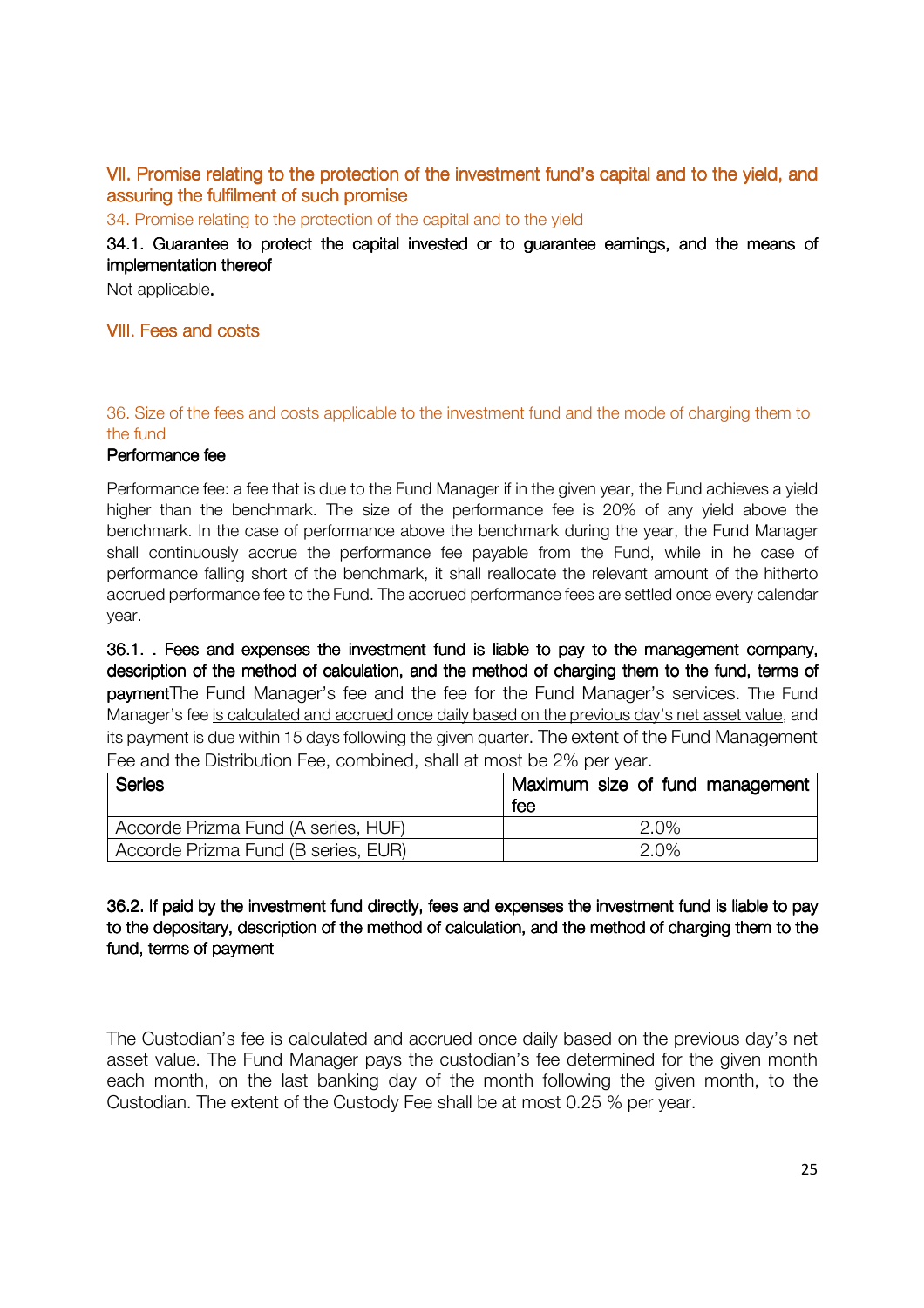## VII. Promise relating to the protection of the investment fund's capital and to the yield, and assuring the fulfilment of such promise

34. Promise relating to the protection of the capital and to the yield

34.1. Guarantee to protect the capital invested or to guarantee earnings, and the means of implementation thereof

Not applicable.

#### VIII. Fees and costs

#### 36. Size of the fees and costs applicable to the investment fund and the mode of charging them to the fund

#### Performance fee

Performance fee: a fee that is due to the Fund Manager if in the given year, the Fund achieves a yield higher than the benchmark. The size of the performance fee is 20% of any yield above the benchmark. In the case of performance above the benchmark during the year, the Fund Manager shall continuously accrue the performance fee payable from the Fund, while in he case of performance falling short of the benchmark, it shall reallocate the relevant amount of the hitherto accrued performance fee to the Fund. The accrued performance fees are settled once every calendar year.

36.1. . Fees and expenses the investment fund is liable to pay to the management company, description of the method of calculation, and the method of charging them to the fund, terms of paymentThe Fund Manager's fee and the fee for the Fund Manager's services. The Fund Manager's fee is calculated and accrued once daily based on the previous day's net asset value, and its payment is due within 15 days following the given quarter. The extent of the Fund Management Fee and the Distribution Fee, combined, shall at most be 2% per year.

| <b>Series</b>                       | Maximum size of fund management<br>fee |
|-------------------------------------|----------------------------------------|
| Accorde Prizma Fund (A series, HUF) | 2.0%                                   |
| Accorde Prizma Fund (B series, EUR) | 2.0%                                   |

## 36.2. If paid by the investment fund directly, fees and expenses the investment fund is liable to pay to the depositary, description of the method of calculation, and the method of charging them to the fund, terms of payment

The Custodian's fee is calculated and accrued once daily based on the previous day's net asset value. The Fund Manager pays the custodian's fee determined for the given month each month, on the last banking day of the month following the given month, to the Custodian. The extent of the Custody Fee shall be at most 0.25 % per year.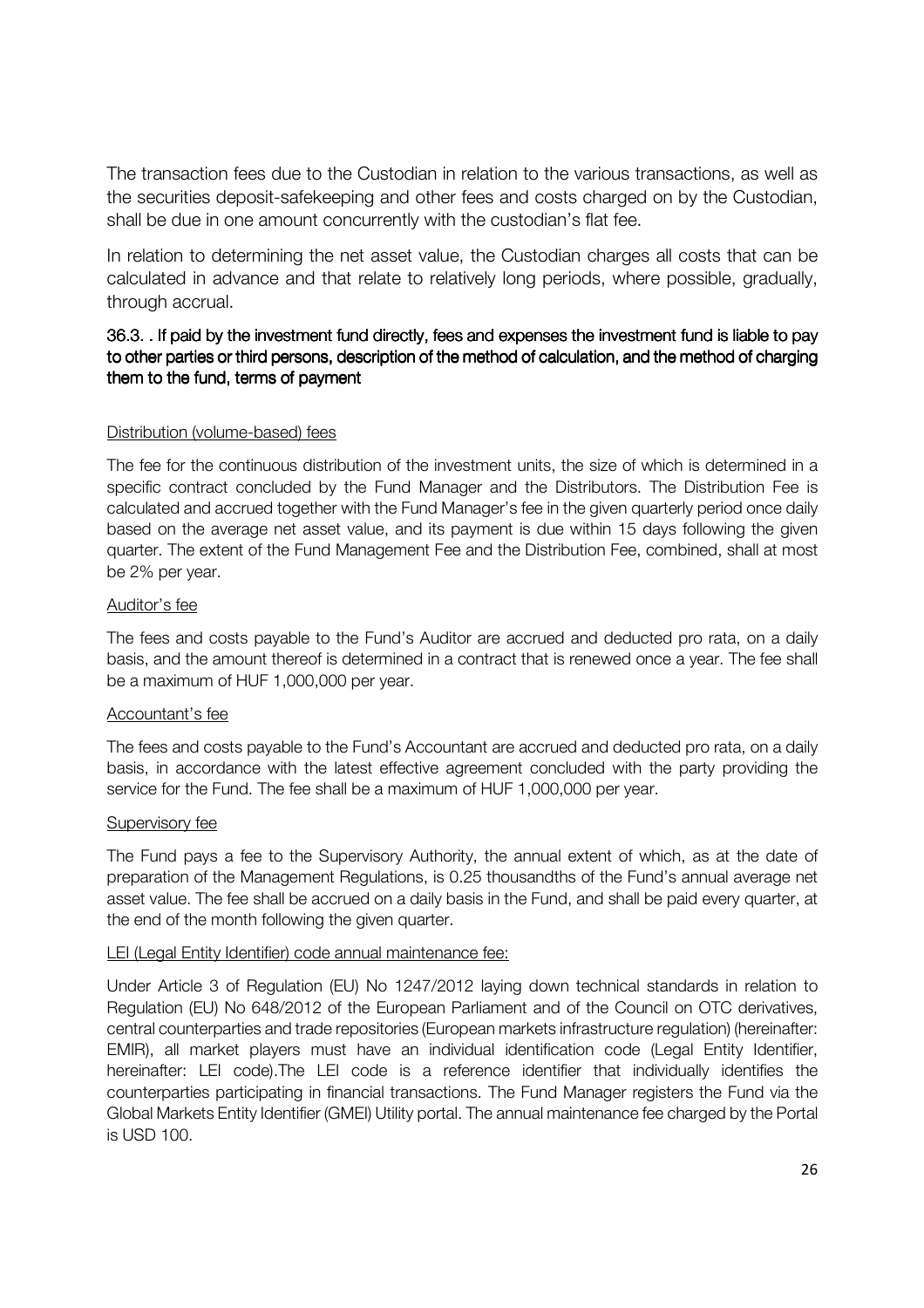The transaction fees due to the Custodian in relation to the various transactions, as well as the securities deposit-safekeeping and other fees and costs charged on by the Custodian, shall be due in one amount concurrently with the custodian's flat fee.

In relation to determining the net asset value, the Custodian charges all costs that can be calculated in advance and that relate to relatively long periods, where possible, gradually, through accrual.

## 36.3. . If paid by the investment fund directly, fees and expenses the investment fund is liable to pay to other parties or third persons, description of the method of calculation, and the method of charging them to the fund, terms of payment

#### Distribution (volume-based) fees

The fee for the continuous distribution of the investment units, the size of which is determined in a specific contract concluded by the Fund Manager and the Distributors. The Distribution Fee is calculated and accrued together with the Fund Manager's fee in the given quarterly period once daily based on the average net asset value, and its payment is due within 15 days following the given quarter. The extent of the Fund Management Fee and the Distribution Fee, combined, shall at most be 2% per year.

#### Auditor's fee

The fees and costs payable to the Fund's Auditor are accrued and deducted pro rata, on a daily basis, and the amount thereof is determined in a contract that is renewed once a year. The fee shall be a maximum of HUF 1,000,000 per year.

#### Accountant's fee

The fees and costs payable to the Fund's Accountant are accrued and deducted pro rata, on a daily basis, in accordance with the latest effective agreement concluded with the party providing the service for the Fund. The fee shall be a maximum of HUF 1,000,000 per year.

#### Supervisory fee

The Fund pays a fee to the Supervisory Authority, the annual extent of which, as at the date of preparation of the Management Regulations, is 0.25 thousandths of the Fund's annual average net asset value. The fee shall be accrued on a daily basis in the Fund, and shall be paid every quarter, at the end of the month following the given quarter.

#### LEI (Legal Entity Identifier) code annual maintenance fee:

Under Article 3 of Regulation (EU) No 1247/2012 laying down technical standards in relation to Regulation (EU) No 648/2012 of the European Parliament and of the Council on OTC derivatives, central counterparties and trade repositories (European markets infrastructure regulation) (hereinafter: EMIR), all market players must have an individual identification code (Legal Entity Identifier, hereinafter: LEI code).The LEI code is a reference identifier that individually identifies the counterparties participating in financial transactions. The Fund Manager registers the Fund via the Global Markets Entity Identifier (GMEI) Utility portal. The annual maintenance fee charged by the Portal is USD 100.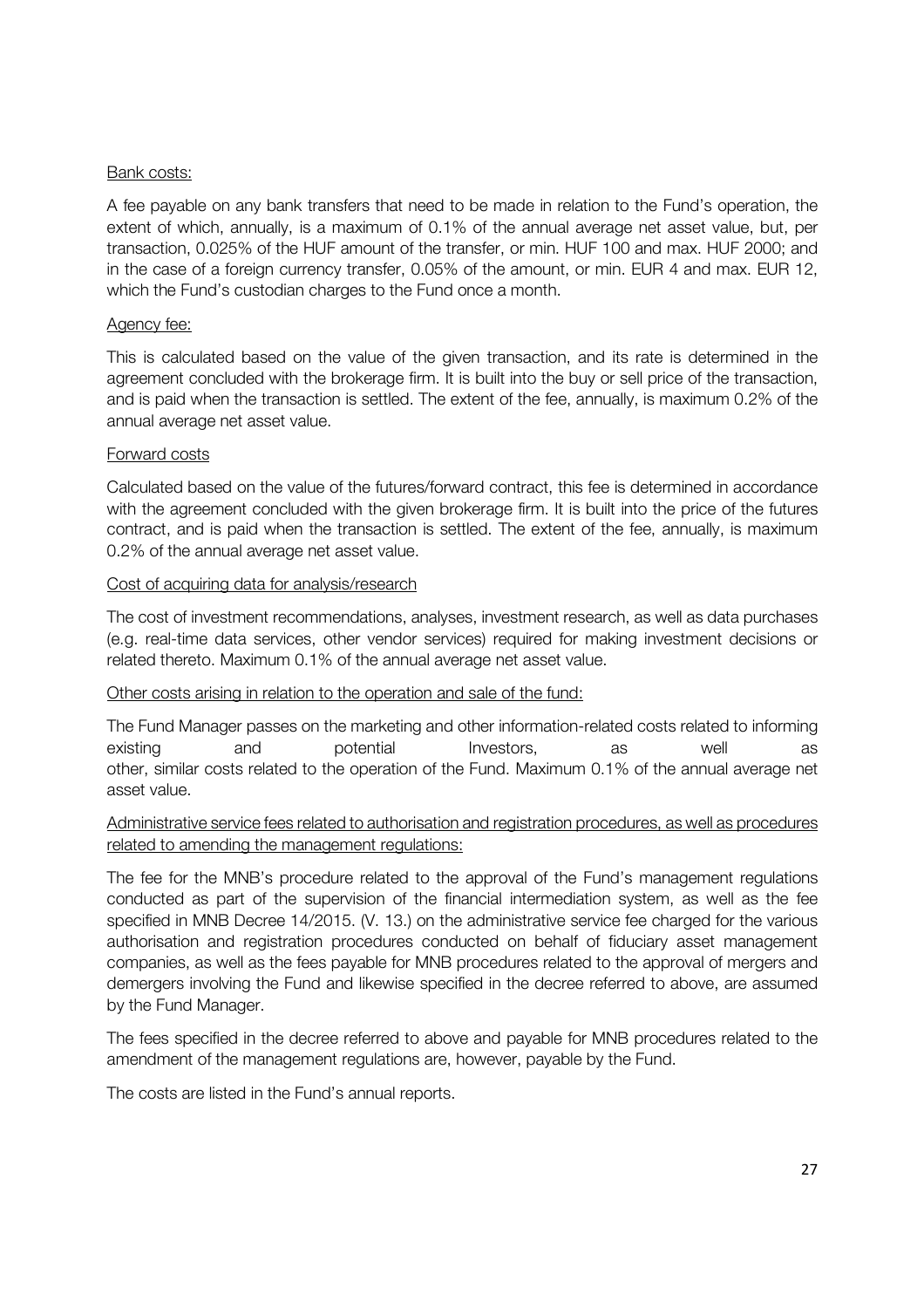#### Bank costs:

A fee payable on any bank transfers that need to be made in relation to the Fund's operation, the extent of which, annually, is a maximum of 0.1% of the annual average net asset value, but, per transaction, 0.025% of the HUF amount of the transfer, or min. HUF 100 and max. HUF 2000; and in the case of a foreign currency transfer, 0.05% of the amount, or min. EUR 4 and max. EUR 12, which the Fund's custodian charges to the Fund once a month.

#### Agency fee:

This is calculated based on the value of the given transaction, and its rate is determined in the agreement concluded with the brokerage firm. It is built into the buy or sell price of the transaction, and is paid when the transaction is settled. The extent of the fee, annually, is maximum 0.2% of the annual average net asset value.

#### Forward costs

Calculated based on the value of the futures/forward contract, this fee is determined in accordance with the agreement concluded with the given brokerage firm. It is built into the price of the futures contract, and is paid when the transaction is settled. The extent of the fee, annually, is maximum 0.2% of the annual average net asset value.

#### Cost of acquiring data for analysis/research

The cost of investment recommendations, analyses, investment research, as well as data purchases (e.g. real-time data services, other vendor services) required for making investment decisions or related thereto. Maximum 0.1% of the annual average net asset value.

#### Other costs arising in relation to the operation and sale of the fund:

The Fund Manager passes on the marketing and other information-related costs related to informing existing and potential Investors, as well as other, similar costs related to the operation of the Fund. Maximum 0.1% of the annual average net asset value.

#### Administrative service fees related to authorisation and registration procedures, as well as procedures related to amending the management regulations:

The fee for the MNB's procedure related to the approval of the Fund's management regulations conducted as part of the supervision of the financial intermediation system, as well as the fee specified in MNB Decree 14/2015. (V. 13.) on the administrative service fee charged for the various authorisation and registration procedures conducted on behalf of fiduciary asset management companies, as well as the fees payable for MNB procedures related to the approval of mergers and demergers involving the Fund and likewise specified in the decree referred to above, are assumed by the Fund Manager.

The fees specified in the decree referred to above and payable for MNB procedures related to the amendment of the management regulations are, however, payable by the Fund.

The costs are listed in the Fund's annual reports.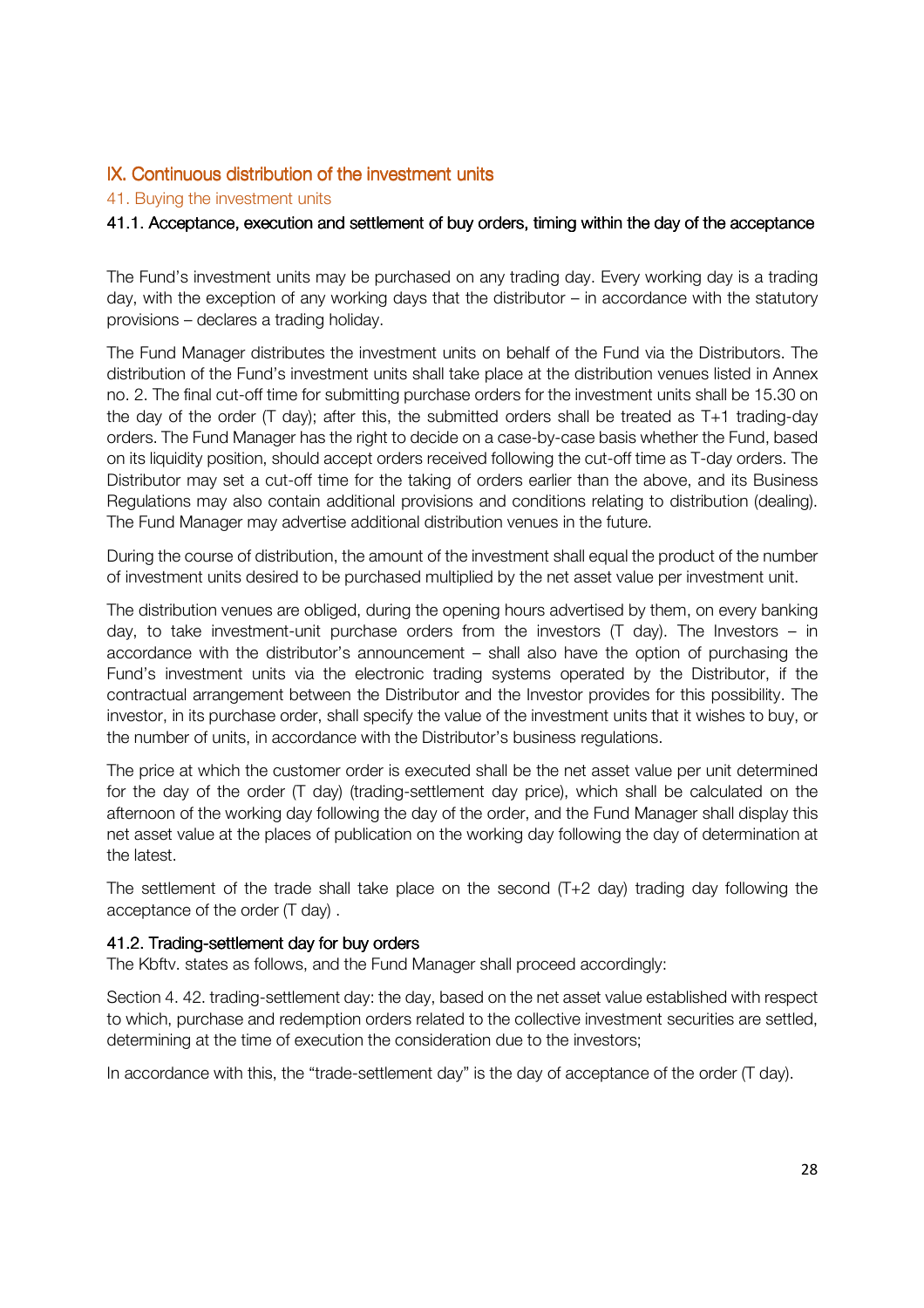## IX. Continuous distribution of the investment units

#### 41. Buying the investment units

#### 41.1. Acceptance, execution and settlement of buy orders, timing within the day of the acceptance

The Fund's investment units may be purchased on any trading day. Every working day is a trading day, with the exception of any working days that the distributor – in accordance with the statutory provisions – declares a trading holiday.

The Fund Manager distributes the investment units on behalf of the Fund via the Distributors. The distribution of the Fund's investment units shall take place at the distribution venues listed in Annex no. 2. The final cut-off time for submitting purchase orders for the investment units shall be 15.30 on the day of the order (T day); after this, the submitted orders shall be treated as T+1 trading-day orders. The Fund Manager has the right to decide on a case-by-case basis whether the Fund, based on its liquidity position, should accept orders received following the cut-off time as T-day orders. The Distributor may set a cut-off time for the taking of orders earlier than the above, and its Business Regulations may also contain additional provisions and conditions relating to distribution (dealing). The Fund Manager may advertise additional distribution venues in the future.

During the course of distribution, the amount of the investment shall equal the product of the number of investment units desired to be purchased multiplied by the net asset value per investment unit.

The distribution venues are obliged, during the opening hours advertised by them, on every banking day, to take investment-unit purchase orders from the investors (T day). The Investors – in accordance with the distributor's announcement – shall also have the option of purchasing the Fund's investment units via the electronic trading systems operated by the Distributor, if the contractual arrangement between the Distributor and the Investor provides for this possibility. The investor, in its purchase order, shall specify the value of the investment units that it wishes to buy, or the number of units, in accordance with the Distributor's business regulations.

The price at which the customer order is executed shall be the net asset value per unit determined for the day of the order (T day) (trading-settlement day price), which shall be calculated on the afternoon of the working day following the day of the order, and the Fund Manager shall display this net asset value at the places of publication on the working day following the day of determination at the latest.

The settlement of the trade shall take place on the second  $(T+2)$  day) trading day following the acceptance of the order (T day) .

#### 41.2. Trading-settlement day for buy orders

The Kbftv. states as follows, and the Fund Manager shall proceed accordingly:

Section 4. 42. trading-settlement day: the day, based on the net asset value established with respect to which, purchase and redemption orders related to the collective investment securities are settled, determining at the time of execution the consideration due to the investors;

In accordance with this, the "trade-settlement day" is the day of acceptance of the order (T day).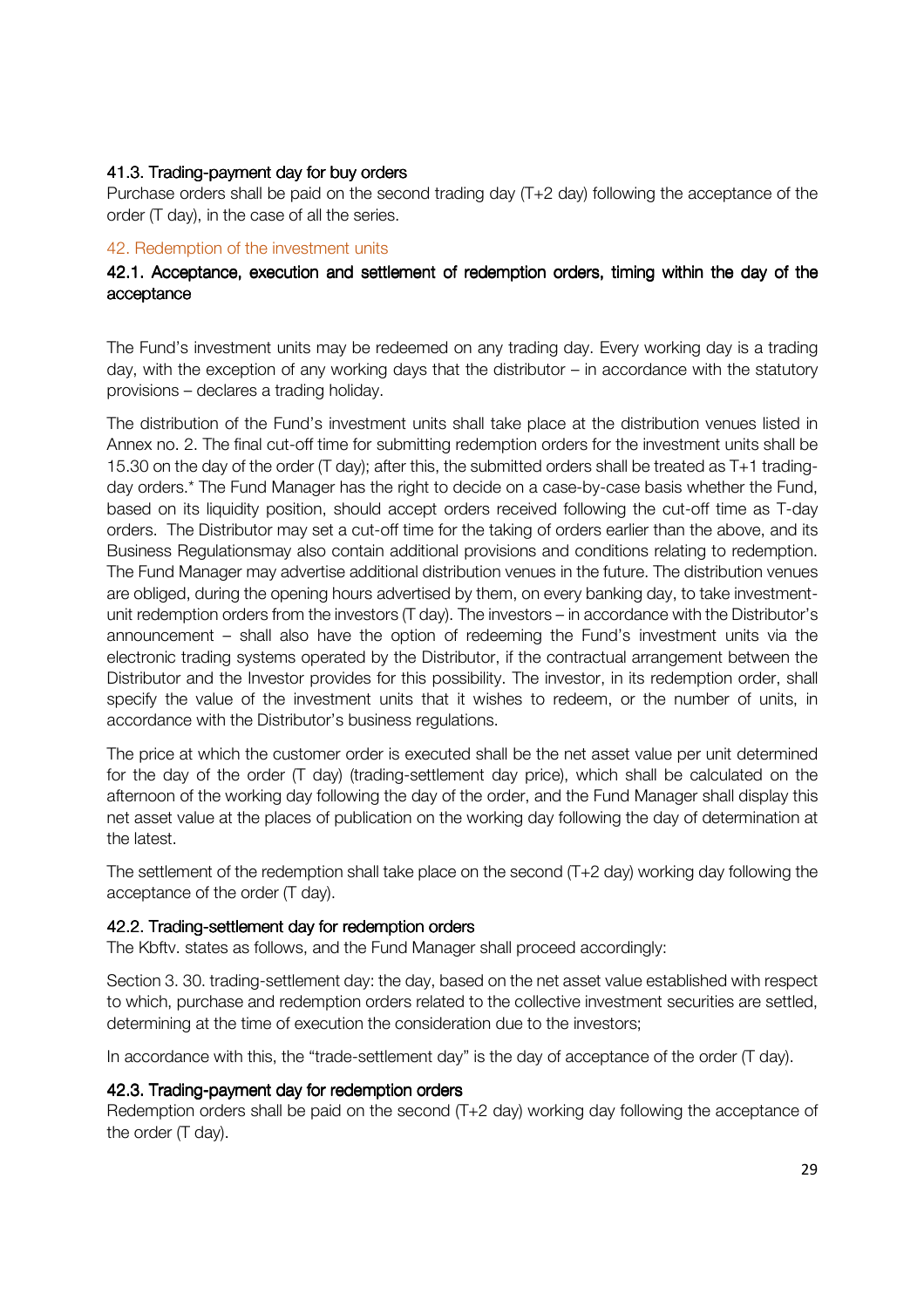### 41.3. Trading-payment day for buy orders

Purchase orders shall be paid on the second trading day (T+2 day) following the acceptance of the order (T day), in the case of all the series.

#### 42. Redemption of the investment units

## 42.1. Acceptance, execution and settlement of redemption orders, timing within the day of the acceptance

The Fund's investment units may be redeemed on any trading day. Every working day is a trading day, with the exception of any working days that the distributor – in accordance with the statutory provisions – declares a trading holiday.

The distribution of the Fund's investment units shall take place at the distribution venues listed in Annex no. 2. The final cut-off time for submitting redemption orders for the investment units shall be 15.30 on the day of the order (T day); after this, the submitted orders shall be treated as T+1 tradingday orders.\* The Fund Manager has the right to decide on a case-by-case basis whether the Fund, based on its liquidity position, should accept orders received following the cut-off time as T-day orders. The Distributor may set a cut-off time for the taking of orders earlier than the above, and its Business Regulationsmay also contain additional provisions and conditions relating to redemption. The Fund Manager may advertise additional distribution venues in the future. The distribution venues are obliged, during the opening hours advertised by them, on every banking day, to take investmentunit redemption orders from the investors (T day). The investors – in accordance with the Distributor's announcement – shall also have the option of redeeming the Fund's investment units via the electronic trading systems operated by the Distributor, if the contractual arrangement between the Distributor and the Investor provides for this possibility. The investor, in its redemption order, shall specify the value of the investment units that it wishes to redeem, or the number of units, in accordance with the Distributor's business regulations.

The price at which the customer order is executed shall be the net asset value per unit determined for the day of the order (T day) (trading-settlement day price), which shall be calculated on the afternoon of the working day following the day of the order, and the Fund Manager shall display this net asset value at the places of publication on the working day following the day of determination at the latest.

The settlement of the redemption shall take place on the second (T+2 day) working day following the acceptance of the order (T day).

#### 42.2. Trading-settlement day for redemption orders

The Kbftv. states as follows, and the Fund Manager shall proceed accordingly:

Section 3. 30. trading-settlement day: the day, based on the net asset value established with respect to which, purchase and redemption orders related to the collective investment securities are settled, determining at the time of execution the consideration due to the investors;

In accordance with this, the "trade-settlement day" is the day of acceptance of the order (T day).

#### 42.3. Trading-payment day for redemption orders

Redemption orders shall be paid on the second (T+2 day) working day following the acceptance of the order (T day).